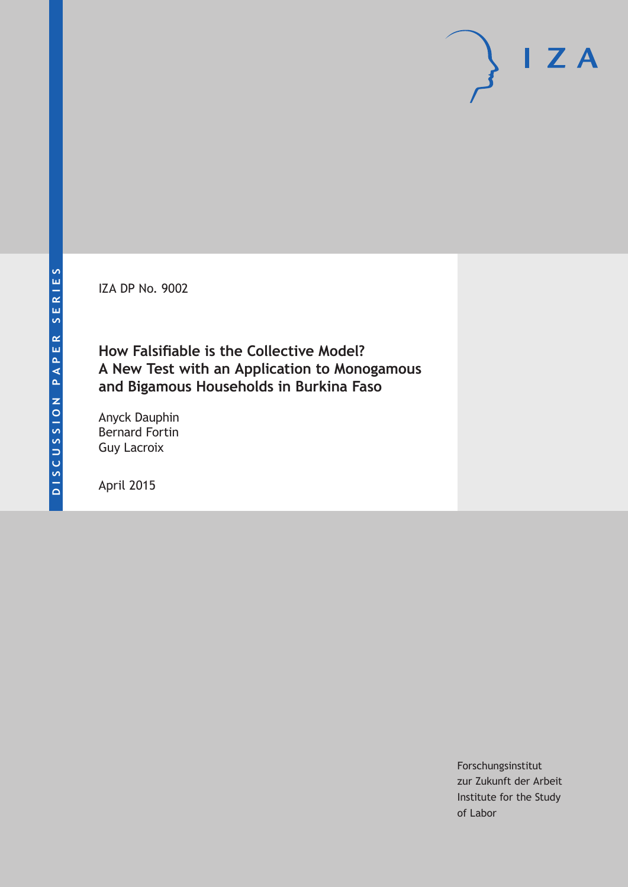IZA DP No. 9002

## **How Falsifiable is the Collective Model? A New Test with an Application to Monogamous and Bigamous Households in Burkina Faso**

Anyck Dauphin Bernard Fortin Guy Lacroix

April 2015

Forschungsinstitut zur Zukunft der Arbeit Institute for the Study of Labor

 $I Z A$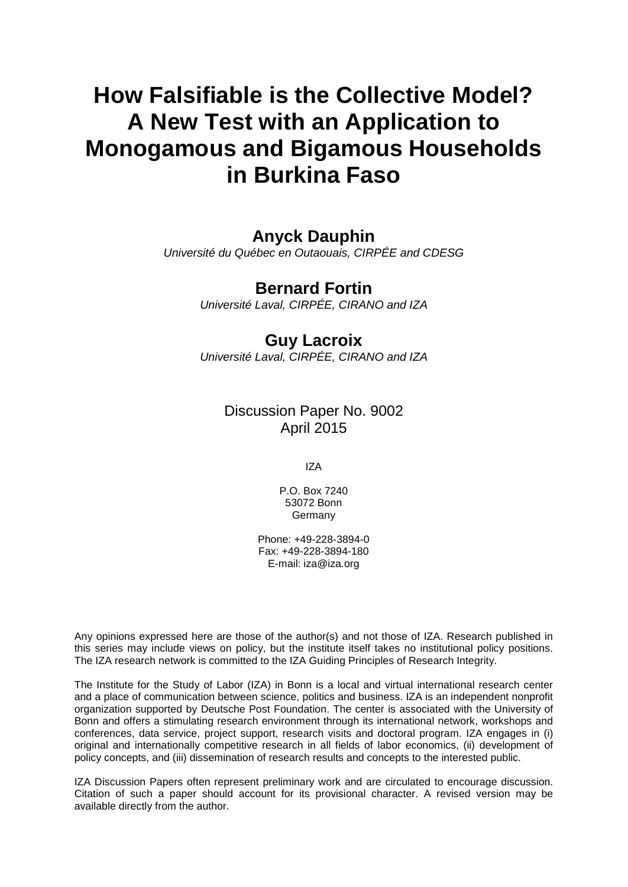# **How Falsifiable is the Collective Model? A New Test with an Application to Monogamous and Bigamous Households in Burkina Faso**

## **Anyck Dauphin**

*Université du Québec en Outaouais, CIRPÉE and CDESG*

## **Bernard Fortin**

*Université Laval, CIRPÉE, CIRANO and IZA*

## **Guy Lacroix**

*Université Laval, CIRPÉE, CIRANO and IZA*

### Discussion Paper No. 9002 April 2015

IZA

P.O. Box 7240 53072 Bonn Germany

Phone: +49-228-3894-0 Fax: +49-228-3894-180 E-mail: iza@iza.org

Any opinions expressed here are those of the author(s) and not those of IZA. Research published in this series may include views on policy, but the institute itself takes no institutional policy positions. The IZA research network is committed to the IZA Guiding Principles of Research Integrity.

The Institute for the Study of Labor (IZA) in Bonn is a local and virtual international research center and a place of communication between science, politics and business. IZA is an independent nonprofit organization supported by Deutsche Post Foundation. The center is associated with the University of Bonn and offers a stimulating research environment through its international network, workshops and conferences, data service, project support, research visits and doctoral program. IZA engages in (i) original and internationally competitive research in all fields of labor economics, (ii) development of policy concepts, and (iii) dissemination of research results and concepts to the interested public.

<span id="page-1-0"></span>IZA Discussion Papers often represent preliminary work and are circulated to encourage discussion. Citation of such a paper should account for its provisional character. A revised version may be available directly from the author.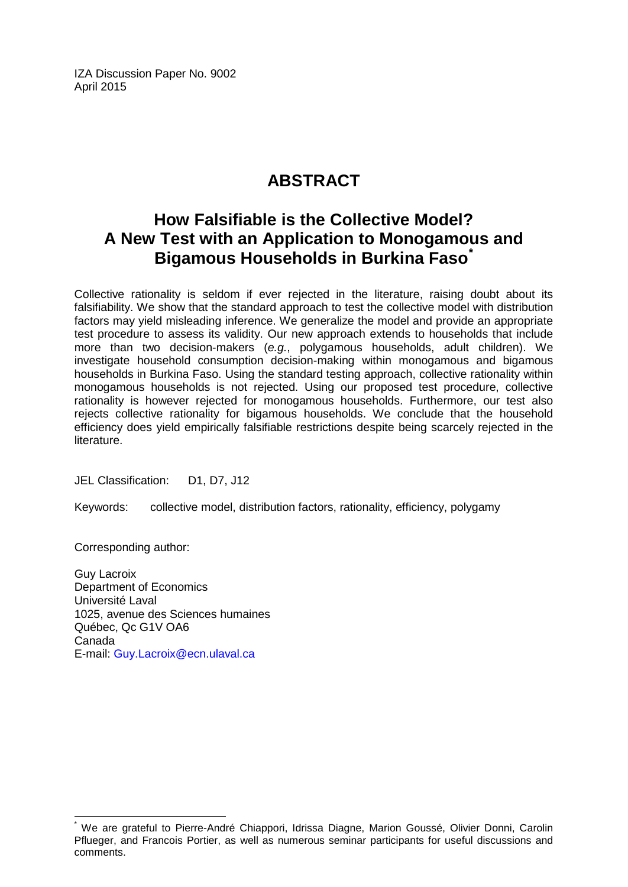IZA Discussion Paper No. 9002 April 2015

## **ABSTRACT**

## **How Falsifiable is the Collective Model? A New Test with an Application to Monogamous and Bigamous Households in Burkina Faso[\\*](#page-1-0)**

Collective rationality is seldom if ever rejected in the literature, raising doubt about its falsifiability. We show that the standard approach to test the collective model with distribution factors may yield misleading inference. We generalize the model and provide an appropriate test procedure to assess its validity. Our new approach extends to households that include more than two decision-makers (*e.g.*, polygamous households, adult children). We investigate household consumption decision-making within monogamous and bigamous households in Burkina Faso. Using the standard testing approach, collective rationality within monogamous households is not rejected. Using our proposed test procedure, collective rationality is however rejected for monogamous households. Furthermore, our test also rejects collective rationality for bigamous households. We conclude that the household efficiency does yield empirically falsifiable restrictions despite being scarcely rejected in the literature.

JEL Classification: D1, D7, J12

Keywords: collective model, distribution factors, rationality, efficiency, polygamy

Corresponding author:

Guy Lacroix Department of Economics Université Laval 1025, avenue des Sciences humaines Québec, Qc G1V OA6 Canada E-mail: [Guy.Lacroix@ecn.ulaval.ca](mailto:Guy.Lacroix@ecn.ulaval.ca)

\* We are grateful to Pierre-André Chiappori, Idrissa Diagne, Marion Goussé, Olivier Donni, Carolin Pflueger, and Francois Portier, as well as numerous seminar participants for useful discussions and comments.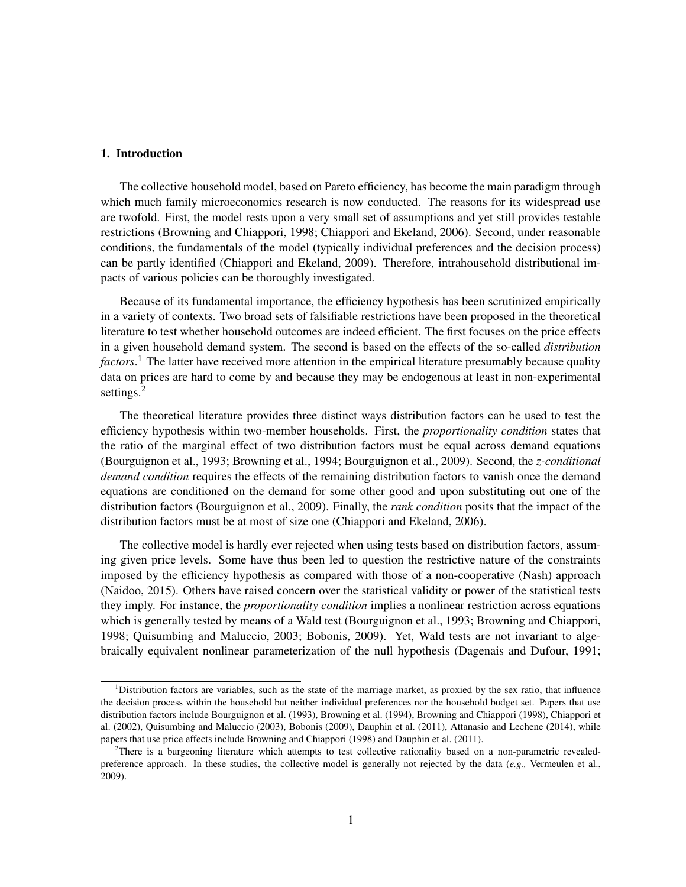#### 1. Introduction

The collective household model, based on Pareto efficiency, has become the main paradigm through which much family microeconomics research is now conducted. The reasons for its widespread use are twofold. First, the model rests upon a very small set of assumptions and yet still provides testable restrictions (Browning and Chiappori, 1998; Chiappori and Ekeland, 2006). Second, under reasonable conditions, the fundamentals of the model (typically individual preferences and the decision process) can be partly identified (Chiappori and Ekeland, 2009). Therefore, intrahousehold distributional impacts of various policies can be thoroughly investigated.

Because of its fundamental importance, the efficiency hypothesis has been scrutinized empirically in a variety of contexts. Two broad sets of falsifiable restrictions have been proposed in the theoretical literature to test whether household outcomes are indeed efficient. The first focuses on the price effects in a given household demand system. The second is based on the effects of the so-called *distribution factors*. <sup>1</sup> The latter have received more attention in the empirical literature presumably because quality data on prices are hard to come by and because they may be endogenous at least in non-experimental settings.<sup>2</sup>

The theoretical literature provides three distinct ways distribution factors can be used to test the efficiency hypothesis within two-member households. First, the *proportionality condition* states that the ratio of the marginal effect of two distribution factors must be equal across demand equations (Bourguignon et al., 1993; Browning et al., 1994; Bourguignon et al., 2009). Second, the *z-conditional demand condition* requires the effects of the remaining distribution factors to vanish once the demand equations are conditioned on the demand for some other good and upon substituting out one of the distribution factors (Bourguignon et al., 2009). Finally, the *rank condition* posits that the impact of the distribution factors must be at most of size one (Chiappori and Ekeland, 2006).

The collective model is hardly ever rejected when using tests based on distribution factors, assuming given price levels. Some have thus been led to question the restrictive nature of the constraints imposed by the efficiency hypothesis as compared with those of a non-cooperative (Nash) approach (Naidoo, 2015). Others have raised concern over the statistical validity or power of the statistical tests they imply. For instance, the *proportionality condition* implies a nonlinear restriction across equations which is generally tested by means of a Wald test (Bourguignon et al., 1993; Browning and Chiappori, 1998; Quisumbing and Maluccio, 2003; Bobonis, 2009). Yet, Wald tests are not invariant to algebraically equivalent nonlinear parameterization of the null hypothesis (Dagenais and Dufour, 1991;

<sup>&</sup>lt;sup>1</sup>Distribution factors are variables, such as the state of the marriage market, as proxied by the sex ratio, that influence the decision process within the household but neither individual preferences nor the household budget set. Papers that use distribution factors include Bourguignon et al. (1993), Browning et al. (1994), Browning and Chiappori (1998), Chiappori et al. (2002), Quisumbing and Maluccio (2003), Bobonis (2009), Dauphin et al. (2011), Attanasio and Lechene (2014), while papers that use price effects include Browning and Chiappori (1998) and Dauphin et al. (2011).

 $^{2}$ There is a burgeoning literature which attempts to test collective rationality based on a non-parametric revealedpreference approach. In these studies, the collective model is generally not rejected by the data (*e.g.,* Vermeulen et al., 2009).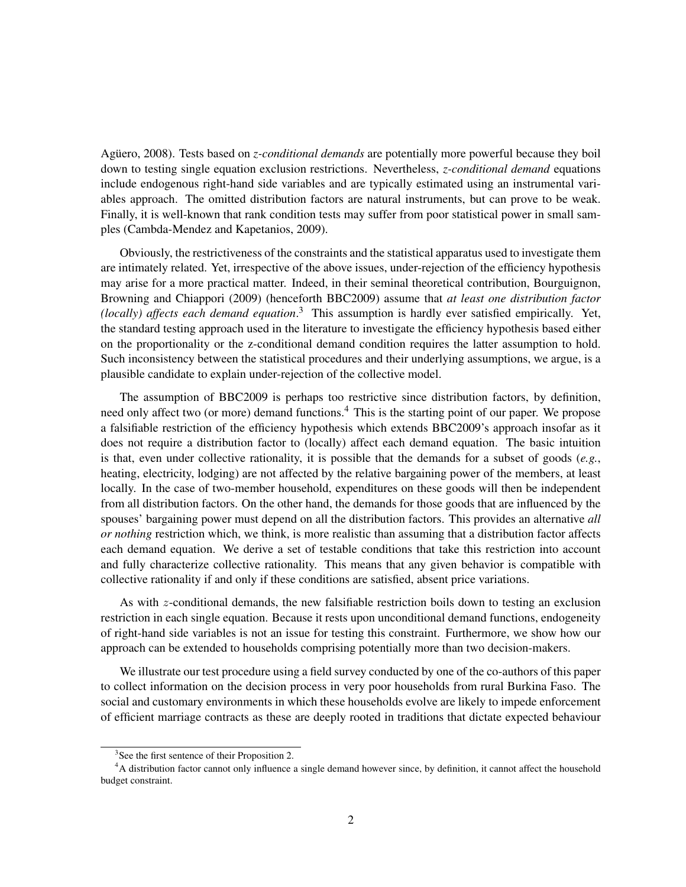Agüero, 2008). Tests based on *z-conditional demands* are potentially more powerful because they boil down to testing single equation exclusion restrictions. Nevertheless, *z-conditional demand* equations include endogenous right-hand side variables and are typically estimated using an instrumental variables approach. The omitted distribution factors are natural instruments, but can prove to be weak. Finally, it is well-known that rank condition tests may suffer from poor statistical power in small samples (Cambda-Mendez and Kapetanios, 2009).

Obviously, the restrictiveness of the constraints and the statistical apparatus used to investigate them are intimately related. Yet, irrespective of the above issues, under-rejection of the efficiency hypothesis may arise for a more practical matter. Indeed, in their seminal theoretical contribution, Bourguignon, Browning and Chiappori (2009) (henceforth BBC2009) assume that *at least one distribution factor (locally) affects each demand equation*. <sup>3</sup> This assumption is hardly ever satisfied empirically. Yet, the standard testing approach used in the literature to investigate the efficiency hypothesis based either on the proportionality or the z-conditional demand condition requires the latter assumption to hold. Such inconsistency between the statistical procedures and their underlying assumptions, we argue, is a plausible candidate to explain under-rejection of the collective model.

The assumption of BBC2009 is perhaps too restrictive since distribution factors, by definition, need only affect two (or more) demand functions.<sup>4</sup> This is the starting point of our paper. We propose a falsifiable restriction of the efficiency hypothesis which extends BBC2009's approach insofar as it does not require a distribution factor to (locally) affect each demand equation. The basic intuition is that, even under collective rationality, it is possible that the demands for a subset of goods (*e.g.*, heating, electricity, lodging) are not affected by the relative bargaining power of the members, at least locally. In the case of two-member household, expenditures on these goods will then be independent from all distribution factors. On the other hand, the demands for those goods that are influenced by the spouses' bargaining power must depend on all the distribution factors. This provides an alternative *all or nothing* restriction which, we think, is more realistic than assuming that a distribution factor affects each demand equation. We derive a set of testable conditions that take this restriction into account and fully characterize collective rationality. This means that any given behavior is compatible with collective rationality if and only if these conditions are satisfied, absent price variations.

As with z-conditional demands, the new falsifiable restriction boils down to testing an exclusion restriction in each single equation. Because it rests upon unconditional demand functions, endogeneity of right-hand side variables is not an issue for testing this constraint. Furthermore, we show how our approach can be extended to households comprising potentially more than two decision-makers.

We illustrate our test procedure using a field survey conducted by one of the co-authors of this paper to collect information on the decision process in very poor households from rural Burkina Faso. The social and customary environments in which these households evolve are likely to impede enforcement of efficient marriage contracts as these are deeply rooted in traditions that dictate expected behaviour

<sup>&</sup>lt;sup>3</sup>See the first sentence of their Proposition 2.

<sup>&</sup>lt;sup>4</sup>A distribution factor cannot only influence a single demand however since, by definition, it cannot affect the household budget constraint.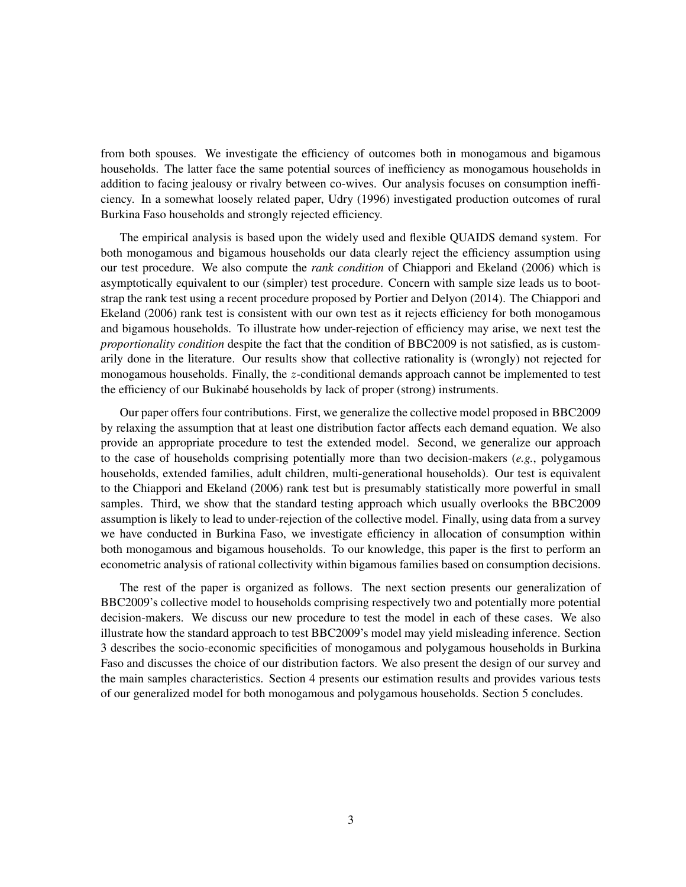from both spouses. We investigate the efficiency of outcomes both in monogamous and bigamous households. The latter face the same potential sources of inefficiency as monogamous households in addition to facing jealousy or rivalry between co-wives. Our analysis focuses on consumption inefficiency. In a somewhat loosely related paper, Udry (1996) investigated production outcomes of rural Burkina Faso households and strongly rejected efficiency.

The empirical analysis is based upon the widely used and flexible QUAIDS demand system. For both monogamous and bigamous households our data clearly reject the efficiency assumption using our test procedure. We also compute the *rank condition* of Chiappori and Ekeland (2006) which is asymptotically equivalent to our (simpler) test procedure. Concern with sample size leads us to bootstrap the rank test using a recent procedure proposed by Portier and Delyon (2014). The Chiappori and Ekeland (2006) rank test is consistent with our own test as it rejects efficiency for both monogamous and bigamous households. To illustrate how under-rejection of efficiency may arise, we next test the *proportionality condition* despite the fact that the condition of BBC2009 is not satisfied, as is customarily done in the literature. Our results show that collective rationality is (wrongly) not rejected for monogamous households. Finally, the z-conditional demands approach cannot be implemented to test the efficiency of our Bukinabé households by lack of proper (strong) instruments.

Our paper offers four contributions. First, we generalize the collective model proposed in BBC2009 by relaxing the assumption that at least one distribution factor affects each demand equation. We also provide an appropriate procedure to test the extended model. Second, we generalize our approach to the case of households comprising potentially more than two decision-makers (*e.g.*, polygamous households, extended families, adult children, multi-generational households). Our test is equivalent to the Chiappori and Ekeland (2006) rank test but is presumably statistically more powerful in small samples. Third, we show that the standard testing approach which usually overlooks the BBC2009 assumption is likely to lead to under-rejection of the collective model. Finally, using data from a survey we have conducted in Burkina Faso, we investigate efficiency in allocation of consumption within both monogamous and bigamous households. To our knowledge, this paper is the first to perform an econometric analysis of rational collectivity within bigamous families based on consumption decisions.

The rest of the paper is organized as follows. The next section presents our generalization of BBC2009's collective model to households comprising respectively two and potentially more potential decision-makers. We discuss our new procedure to test the model in each of these cases. We also illustrate how the standard approach to test BBC2009's model may yield misleading inference. Section 3 describes the socio-economic specificities of monogamous and polygamous households in Burkina Faso and discusses the choice of our distribution factors. We also present the design of our survey and the main samples characteristics. Section 4 presents our estimation results and provides various tests of our generalized model for both monogamous and polygamous households. Section 5 concludes.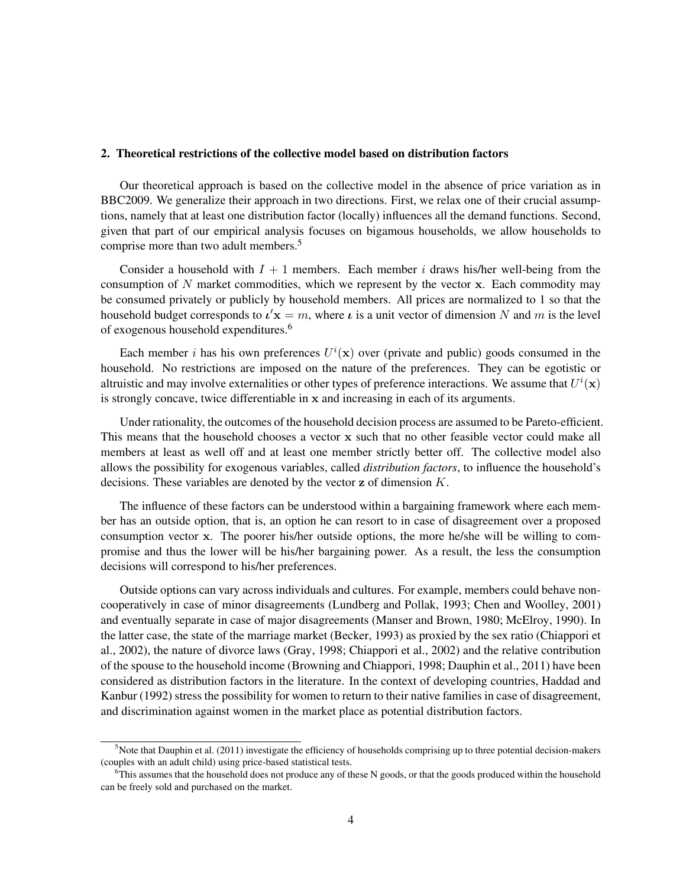#### 2. Theoretical restrictions of the collective model based on distribution factors

Our theoretical approach is based on the collective model in the absence of price variation as in BBC2009. We generalize their approach in two directions. First, we relax one of their crucial assumptions, namely that at least one distribution factor (locally) influences all the demand functions. Second, given that part of our empirical analysis focuses on bigamous households, we allow households to comprise more than two adult members.<sup>5</sup>

Consider a household with  $I + 1$  members. Each member i draws his/her well-being from the consumption of  $N$  market commodities, which we represent by the vector x. Each commodity may be consumed privately or publicly by household members. All prices are normalized to 1 so that the household budget corresponds to  $\mathbf{t}'\mathbf{x} = m$ , where  $\mathbf{t}$  is a unit vector of dimension N and m is the level of exogenous household expenditures.<sup>6</sup>

Each member *i* has his own preferences  $U^i(\mathbf{x})$  over (private and public) goods consumed in the household. No restrictions are imposed on the nature of the preferences. They can be egotistic or altruistic and may involve externalities or other types of preference interactions. We assume that  $U^i(\mathbf{x})$ is strongly concave, twice differentiable in x and increasing in each of its arguments.

Under rationality, the outcomes of the household decision process are assumed to be Pareto-efficient. This means that the household chooses a vector x such that no other feasible vector could make all members at least as well off and at least one member strictly better off. The collective model also allows the possibility for exogenous variables, called *distribution factors*, to influence the household's decisions. These variables are denoted by the vector  $z$  of dimension  $K$ .

The influence of these factors can be understood within a bargaining framework where each member has an outside option, that is, an option he can resort to in case of disagreement over a proposed consumption vector x. The poorer his/her outside options, the more he/she will be willing to compromise and thus the lower will be his/her bargaining power. As a result, the less the consumption decisions will correspond to his/her preferences.

Outside options can vary across individuals and cultures. For example, members could behave noncooperatively in case of minor disagreements (Lundberg and Pollak, 1993; Chen and Woolley, 2001) and eventually separate in case of major disagreements (Manser and Brown, 1980; McElroy, 1990). In the latter case, the state of the marriage market (Becker, 1993) as proxied by the sex ratio (Chiappori et al., 2002), the nature of divorce laws (Gray, 1998; Chiappori et al., 2002) and the relative contribution of the spouse to the household income (Browning and Chiappori, 1998; Dauphin et al., 2011) have been considered as distribution factors in the literature. In the context of developing countries, Haddad and Kanbur (1992) stress the possibility for women to return to their native families in case of disagreement, and discrimination against women in the market place as potential distribution factors.

 $5$ Note that Dauphin et al. (2011) investigate the efficiency of households comprising up to three potential decision-makers (couples with an adult child) using price-based statistical tests.

 $6$ This assumes that the household does not produce any of these N goods, or that the goods produced within the household can be freely sold and purchased on the market.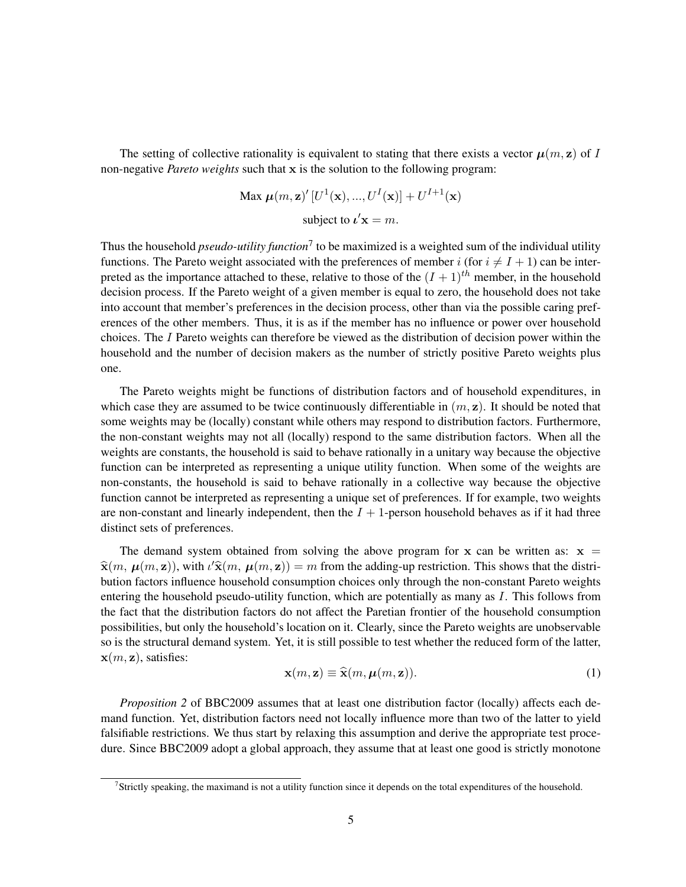The setting of collective rationality is equivalent to stating that there exists a vector  $\mu(m, z)$  of I non-negative *Pareto weights* such that x is the solution to the following program:

$$
\text{Max } \boldsymbol{\mu}(m, \mathbf{z})' [U^1(\mathbf{x}), ..., U^I(\mathbf{x})] + U^{I+1}(\mathbf{x})
$$
\n
$$
\text{subject to } \boldsymbol{\iota}' \mathbf{x} = m.
$$

Thus the household *pseudo-utility function*<sup>7</sup> to be maximized is a weighted sum of the individual utility functions. The Pareto weight associated with the preferences of member i (for  $i \neq I + 1$ ) can be interpreted as the importance attached to these, relative to those of the  $(I + 1)^{th}$  member, in the household decision process. If the Pareto weight of a given member is equal to zero, the household does not take into account that member's preferences in the decision process, other than via the possible caring preferences of the other members. Thus, it is as if the member has no influence or power over household choices. The I Pareto weights can therefore be viewed as the distribution of decision power within the household and the number of decision makers as the number of strictly positive Pareto weights plus one.

The Pareto weights might be functions of distribution factors and of household expenditures, in which case they are assumed to be twice continuously differentiable in  $(m, z)$ . It should be noted that some weights may be (locally) constant while others may respond to distribution factors. Furthermore, the non-constant weights may not all (locally) respond to the same distribution factors. When all the weights are constants, the household is said to behave rationally in a unitary way because the objective function can be interpreted as representing a unique utility function. When some of the weights are non-constants, the household is said to behave rationally in a collective way because the objective function cannot be interpreted as representing a unique set of preferences. If for example, two weights are non-constant and linearly independent, then the  $I + 1$ -person household behaves as if it had three distinct sets of preferences.

The demand system obtained from solving the above program for x can be written as:  $x =$  $\hat{\mathbf{x}}(m, \mu(m, \mathbf{z}))$ , with  $\iota' \hat{\mathbf{x}}(m, \mu(m, \mathbf{z})) = m$  from the adding-up restriction. This shows that the distribution factors influence household consumption choices only through the non-constant Pareto weights entering the household pseudo-utility function, which are potentially as many as I. This follows from the fact that the distribution factors do not affect the Paretian frontier of the household consumption possibilities, but only the household's location on it. Clearly, since the Pareto weights are unobservable so is the structural demand system. Yet, it is still possible to test whether the reduced form of the latter,  $\mathbf{x}(m, \mathbf{z})$ , satisfies:

$$
\mathbf{x}(m, \mathbf{z}) \equiv \widehat{\mathbf{x}}(m, \boldsymbol{\mu}(m, \mathbf{z})). \tag{1}
$$

*Proposition 2* of BBC2009 assumes that at least one distribution factor (locally) affects each demand function. Yet, distribution factors need not locally influence more than two of the latter to yield falsifiable restrictions. We thus start by relaxing this assumption and derive the appropriate test procedure. Since BBC2009 adopt a global approach, they assume that at least one good is strictly monotone

<sup>&</sup>lt;sup>7</sup>Strictly speaking, the maximand is not a utility function since it depends on the total expenditures of the household.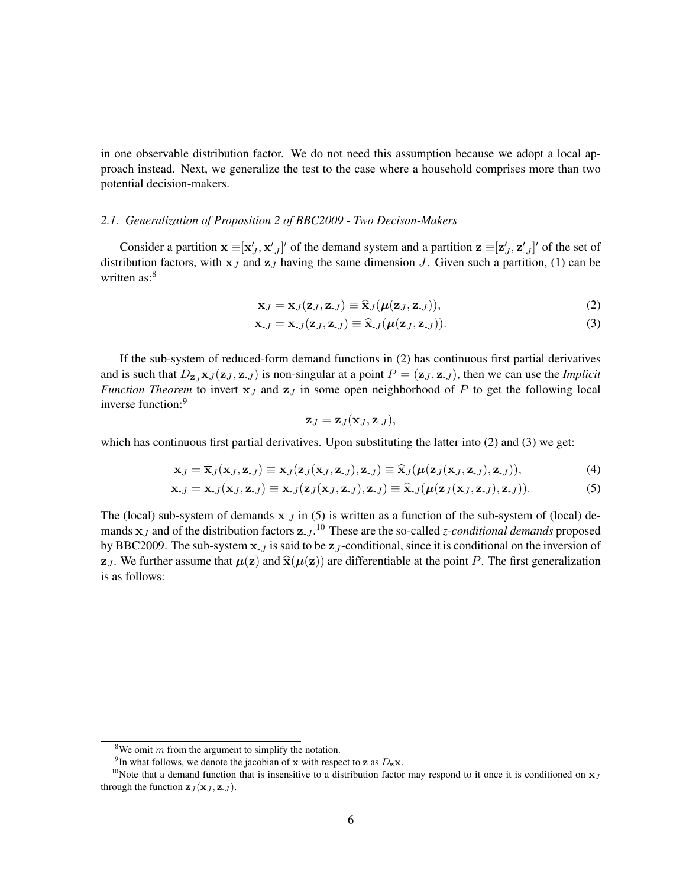in one observable distribution factor. We do not need this assumption because we adopt a local approach instead. Next, we generalize the test to the case where a household comprises more than two potential decision-makers.

#### *2.1. Generalization of Proposition 2 of BBC2009 - Two Decison-Makers*

Consider a partition  $\mathbf{x} \equiv [\mathbf{x}'_J, \mathbf{x}'_{J}]'$  of the demand system and a partition  $\mathbf{z} \equiv [\mathbf{z}'_J, \mathbf{z}'_{J}]'$  of the set of distribution factors, with  $x_J$  and  $z_J$  having the same dimension J. Given such a partition, (1) can be written  $as:8$ 

$$
\mathbf{x}_J = \mathbf{x}_J(\mathbf{z}_J, \mathbf{z}_{-J}) \equiv \hat{\mathbf{x}}_J(\boldsymbol{\mu}(\mathbf{z}_J, \mathbf{z}_{-J})), \tag{2}
$$

$$
\mathbf{x}_{J} = \mathbf{x}_{J}(\mathbf{z}_{J}, \mathbf{z}_{J}) \equiv \widehat{\mathbf{x}}_{J}(\boldsymbol{\mu}(\mathbf{z}_{J}, \mathbf{z}_{J})).
$$
\n(3)

If the sub-system of reduced-form demand functions in (2) has continuous first partial derivatives and is such that  $D_{\mathbf{z}_J} \mathbf{x}_J (\mathbf{z}_J, \mathbf{z}_{J})$  is non-singular at a point  $P = (\mathbf{z}_J, \mathbf{z}_{J})$ , then we can use the *Implicit Function Theorem* to invert  $x_J$  and  $z_J$  in some open neighborhood of P to get the following local inverse function:<sup>9</sup>

$$
\mathbf{z}_J = \mathbf{z}_J(\mathbf{x}_J,\mathbf{z}_{-J}),
$$

which has continuous first partial derivatives. Upon substituting the latter into (2) and (3) we get:

$$
\mathbf{x}_J = \overline{\mathbf{x}}_J(\mathbf{x}_J, \mathbf{z}_{-J}) \equiv \mathbf{x}_J(\mathbf{z}_J(\mathbf{x}_J, \mathbf{z}_{-J}), \mathbf{z}_{-J}) \equiv \widehat{\mathbf{x}}_J(\boldsymbol{\mu}(\mathbf{z}_J(\mathbf{x}_J, \mathbf{z}_{-J}), \mathbf{z}_{-J})), \tag{4}
$$

$$
\mathbf{x}_{J} = \overline{\mathbf{x}}_{J}(\mathbf{x}_{J}, \mathbf{z}_{J}) \equiv \mathbf{x}_{J}(\mathbf{z}_{J}(\mathbf{x}_{J}, \mathbf{z}_{J}), \mathbf{z}_{J}) \equiv \widehat{\mathbf{x}}_{J}(\boldsymbol{\mu}(\mathbf{z}_{J}(\mathbf{x}_{J}, \mathbf{z}_{J}), \mathbf{z}_{J})). \tag{5}
$$

The (local) sub-system of demands  $x_{J}$  in (5) is written as a function of the sub-system of (local) demands  $x_j$  and of the distribution factors  $z_{-j}$ .<sup>10</sup> These are the so-called *z-conditional demands* proposed by BBC2009. The sub-system  $x_{J}$  is said to be  $z_{J}$ -conditional, since it is conditional on the inversion of  $z_J$ . We further assume that  $\mu(z)$  and  $\hat{x}(\mu(z))$  are differentiable at the point P. The first generalization is as follows:

<sup>&</sup>lt;sup>8</sup>We omit  $m$  from the argument to simplify the notation.

<sup>&</sup>lt;sup>9</sup>In what follows, we denote the jacobian of x with respect to z as  $D_z$ x.

<sup>&</sup>lt;sup>10</sup>Note that a demand function that is insensitive to a distribution factor may respond to it once it is conditioned on  $x_J$ through the function  $\mathbf{z}_J(\mathbf{x}_J, \mathbf{z}_{-J})$ .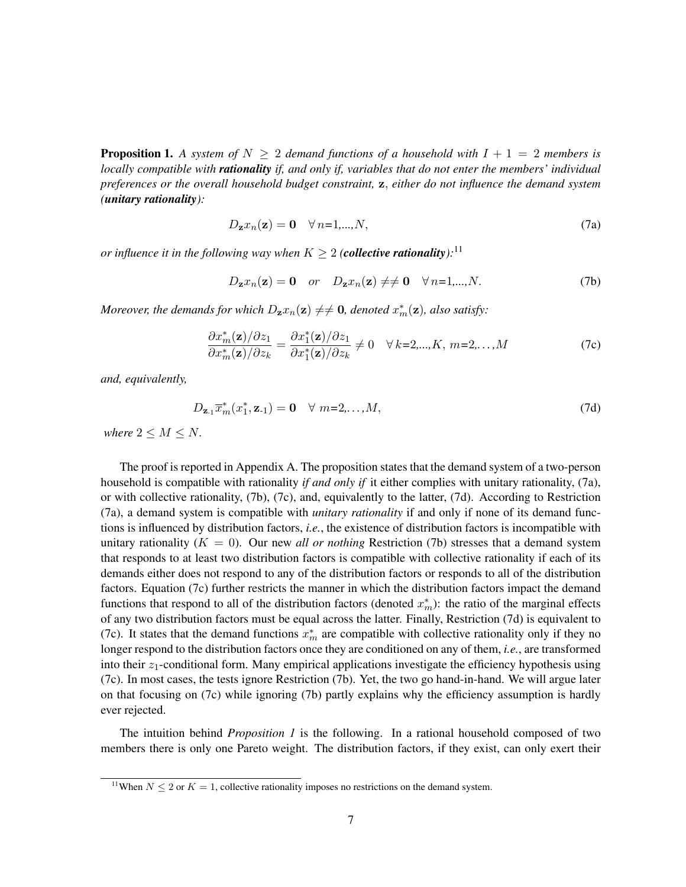**Proposition 1.** A system of  $N \geq 2$  demand functions of a household with  $I + 1 = 2$  members is *locally compatible with rationality if, and only if, variables that do not enter the members' individual preferences or the overall household budget constraint,* z, *either do not influence the demand system (unitary rationality):*

$$
D_{\mathbf{z}}x_n(\mathbf{z}) = \mathbf{0} \quad \forall n=1,\dots,N,
$$
\n(7a)

*or influence it in the following way when*  $K \geq 2$  (*collective rationality*):<sup>11</sup>

$$
D_{\mathbf{z}}x_n(\mathbf{z}) = \mathbf{0} \quad or \quad D_{\mathbf{z}}x_n(\mathbf{z}) \neq \neq \mathbf{0} \quad \forall n=1,...,N. \tag{7b}
$$

*Moreover, the demands for which*  $D_{\mathbf{z}}x_n(\mathbf{z}) \neq \neq \mathbf{0}$ *, denoted*  $x_m^*(\mathbf{z})$ *, also satisfy:* 

$$
\frac{\partial x_m^*(\mathbf{z})/\partial z_1}{\partial x_m^*(\mathbf{z})/\partial z_k} = \frac{\partial x_1^*(\mathbf{z})/\partial z_1}{\partial x_1^*(\mathbf{z})/\partial z_k} \neq 0 \quad \forall \, k=2,...,K, \, m=2,...,M
$$
\n(7c)

*and, equivalently,*

$$
D_{\mathbf{z}_1} \overline{x}_m^*(x_1^*, \mathbf{z}_1) = \mathbf{0} \quad \forall \ m = 2, \dots, M,
$$
\n(7d)

*where*  $2 \leq M \leq N$ .

The proof is reported in Appendix A. The proposition states that the demand system of a two-person household is compatible with rationality *if and only if* it either complies with unitary rationality, (7a), or with collective rationality, (7b), (7c), and, equivalently to the latter, (7d). According to Restriction (7a), a demand system is compatible with *unitary rationality* if and only if none of its demand functions is influenced by distribution factors, *i.e.*, the existence of distribution factors is incompatible with unitary rationality  $(K = 0)$ . Our new *all or nothing* Restriction (7b) stresses that a demand system that responds to at least two distribution factors is compatible with collective rationality if each of its demands either does not respond to any of the distribution factors or responds to all of the distribution factors. Equation (7c) further restricts the manner in which the distribution factors impact the demand functions that respond to all of the distribution factors (denoted  $x_m^*$ ): the ratio of the marginal effects of any two distribution factors must be equal across the latter. Finally, Restriction (7d) is equivalent to (7c). It states that the demand functions  $x_m^*$  are compatible with collective rationality only if they no longer respond to the distribution factors once they are conditioned on any of them, *i.e.*, are transformed into their  $z_1$ -conditional form. Many empirical applications investigate the efficiency hypothesis using (7c). In most cases, the tests ignore Restriction (7b). Yet, the two go hand-in-hand. We will argue later on that focusing on (7c) while ignoring (7b) partly explains why the efficiency assumption is hardly ever rejected.

The intuition behind *Proposition 1* is the following. In a rational household composed of two members there is only one Pareto weight. The distribution factors, if they exist, can only exert their

<sup>&</sup>lt;sup>11</sup>When  $N \le 2$  or  $K = 1$ , collective rationality imposes no restrictions on the demand system.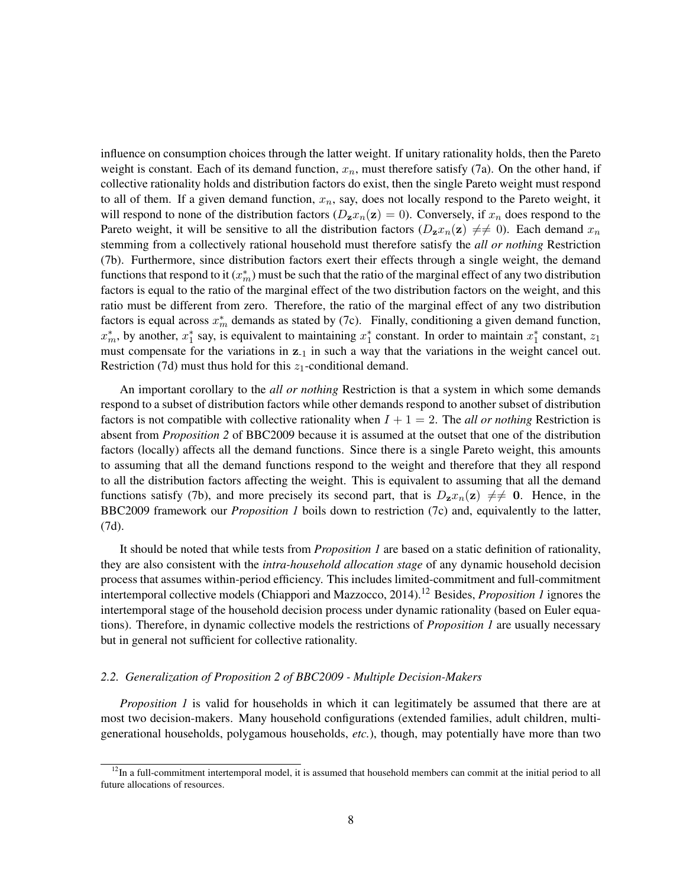influence on consumption choices through the latter weight. If unitary rationality holds, then the Pareto weight is constant. Each of its demand function,  $x_n$ , must therefore satisfy (7a). On the other hand, if collective rationality holds and distribution factors do exist, then the single Pareto weight must respond to all of them. If a given demand function,  $x_n$ , say, does not locally respond to the Pareto weight, it will respond to none of the distribution factors ( $D_z x_n(z) = 0$ ). Conversely, if  $x_n$  does respond to the Pareto weight, it will be sensitive to all the distribution factors  $(D_z x_n(z) \neq 0)$ . Each demand  $x_n$ stemming from a collectively rational household must therefore satisfy the *all or nothing* Restriction (7b). Furthermore, since distribution factors exert their effects through a single weight, the demand functions that respond to it  $(x_m^*)$  must be such that the ratio of the marginal effect of any two distribution factors is equal to the ratio of the marginal effect of the two distribution factors on the weight, and this ratio must be different from zero. Therefore, the ratio of the marginal effect of any two distribution factors is equal across  $x_m^*$  demands as stated by (7c). Finally, conditioning a given demand function,  $x_m^*$ , by another,  $x_1^*$  say, is equivalent to maintaining  $x_1^*$  constant. In order to maintain  $x_1^*$  constant,  $z_1$ must compensate for the variations in  $z_{-1}$  in such a way that the variations in the weight cancel out. Restriction (7d) must thus hold for this  $z_1$ -conditional demand.

An important corollary to the *all or nothing* Restriction is that a system in which some demands respond to a subset of distribution factors while other demands respond to another subset of distribution factors is not compatible with collective rationality when  $I + 1 = 2$ . The *all or nothing* Restriction is absent from *Proposition 2* of BBC2009 because it is assumed at the outset that one of the distribution factors (locally) affects all the demand functions. Since there is a single Pareto weight, this amounts to assuming that all the demand functions respond to the weight and therefore that they all respond to all the distribution factors affecting the weight. This is equivalent to assuming that all the demand functions satisfy (7b), and more precisely its second part, that is  $D_z x_n(z) \neq 0$ . Hence, in the BBC2009 framework our *Proposition 1* boils down to restriction (7c) and, equivalently to the latter, (7d).

It should be noted that while tests from *Proposition 1* are based on a static definition of rationality, they are also consistent with the *intra-household allocation stage* of any dynamic household decision process that assumes within-period efficiency. This includes limited-commitment and full-commitment intertemporal collective models (Chiappori and Mazzocco, 2014).<sup>12</sup> Besides, *Proposition 1* ignores the intertemporal stage of the household decision process under dynamic rationality (based on Euler equations). Therefore, in dynamic collective models the restrictions of *Proposition 1* are usually necessary but in general not sufficient for collective rationality.

#### *2.2. Generalization of Proposition 2 of BBC2009 - Multiple Decision-Makers*

*Proposition 1* is valid for households in which it can legitimately be assumed that there are at most two decision-makers. Many household configurations (extended families, adult children, multigenerational households, polygamous households, *etc.*), though, may potentially have more than two

 $12$ In a full-commitment intertemporal model, it is assumed that household members can commit at the initial period to all future allocations of resources.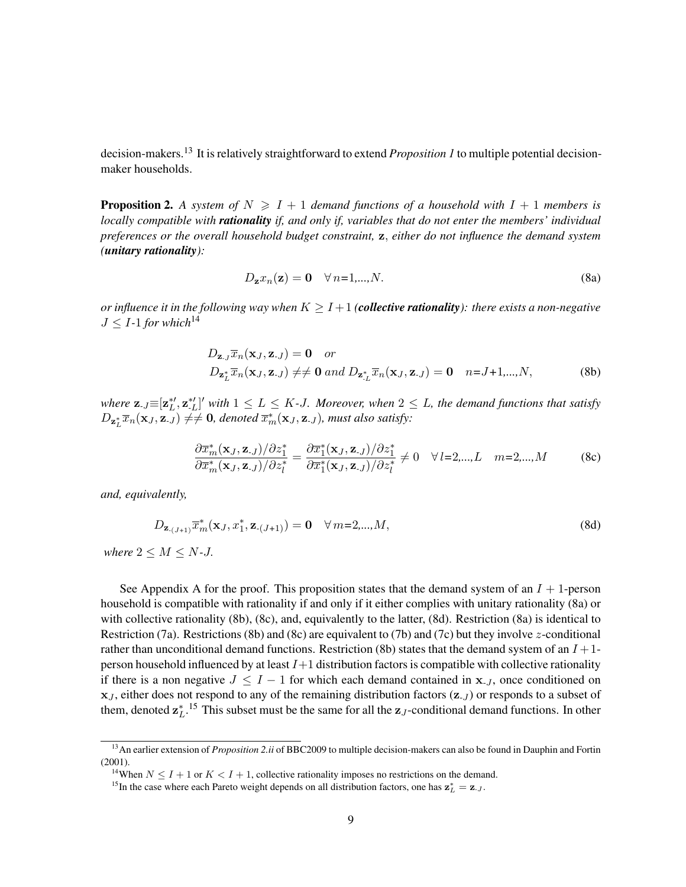decision-makers.<sup>13</sup> It is relatively straightforward to extend *Proposition 1* to multiple potential decisionmaker households.

**Proposition 2.** A system of  $N \geq 1+1$  demand functions of a household with  $I + 1$  members is *locally compatible with rationality if, and only if, variables that do not enter the members' individual preferences or the overall household budget constraint,* z, *either do not influence the demand system (unitary rationality):*

$$
D_{\mathbf{z}}x_n(\mathbf{z}) = \mathbf{0} \quad \forall n=1,...,N. \tag{8a}
$$

*or influence it in the following way when*  $K \geq I+1$  *(collective rationality): there exists a non-negative*  $J < I$ -1 for which<sup>14</sup>

$$
D_{\mathbf{z}_{\cdot,J}}\overline{x}_{n}(\mathbf{x}_{J}, \mathbf{z}_{\cdot,J}) = \mathbf{0} \quad or
$$
  
\n
$$
D_{\mathbf{z}_{\cdot,L}^*}\overline{x}_{n}(\mathbf{x}_{J}, \mathbf{z}_{\cdot,J}) \neq \neq \mathbf{0} \text{ and } D_{\mathbf{z}_{\cdot,L}^*}\overline{x}_{n}(\mathbf{x}_{J}, \mathbf{z}_{\cdot,J}) = \mathbf{0} \quad n = J+1,...,N,
$$
 (8b)

where  $\mathbf{z}_{\cdot}$   $\equiv$   $[\mathbf{z}_{L}^{*\prime}, \mathbf{z}_{\cdot L}^{* \prime}]'$  with  $1 \leq L \leq K$ -J. Moreover, when  $2 \leq L$ , the demand functions that satisfy  $D_{\mathbf{z}_{L}^{*}}\overline{x}_{n}(\mathbf{x}_{J},\mathbf{z}_{J}) \neq\neq \mathbf{0}$ , denoted  $\overline{x}_{m}^{*}(\mathbf{x}_{J},\mathbf{z}_{J})$ , must also satisfy:

$$
\frac{\partial \overline{x}_{m}^{*}(\mathbf{x}_{J}, \mathbf{z}_{J})}{\partial \overline{x}_{m}^{*}(\mathbf{x}_{J}, \mathbf{z}_{J})}{\partial z_{J}^{*}} = \frac{\partial \overline{x}_{1}^{*}(\mathbf{x}_{J}, \mathbf{z}_{J})}{\partial \overline{x}_{1}^{*}(\mathbf{x}_{J}, \mathbf{z}_{J})}{\partial z_{I}^{*}} \neq 0 \quad \forall l=2,...,L \quad m=2,...,M \quad (8c)
$$

*and, equivalently,*

$$
D_{\mathbf{z}_{-(J+1)}}\overline{x}_{m}^{*}(\mathbf{x}_{J}, x_{1}^{*}, \mathbf{z}_{-(J+1)}) = \mathbf{0} \quad \forall \, m=2,...,M,
$$
\n(8d)

*where*  $2 \leq M \leq N$ -*J*.

See Appendix A for the proof. This proposition states that the demand system of an  $I + 1$ -person household is compatible with rationality if and only if it either complies with unitary rationality (8a) or with collective rationality (8b), (8c), and, equivalently to the latter, (8d). Restriction (8a) is identical to Restriction (7a). Restrictions (8b) and (8c) are equivalent to (7b) and (7c) but they involve z-conditional rather than unconditional demand functions. Restriction (8b) states that the demand system of an  $I+1$ person household influenced by at least  $I+1$  distribution factors is compatible with collective rationality if there is a non negative  $J \leq I - 1$  for which each demand contained in  $x_{J}$ , once conditioned on  $x_J$ , either does not respond to any of the remaining distribution factors  $(z_J)$  or responds to a subset of them, denoted  $z_L^{*}$ .<sup>15</sup> This subset must be the same for all the  $z_J$ -conditional demand functions. In other

<sup>&</sup>lt;sup>13</sup> An earlier extension of *Proposition 2.ii* of BBC2009 to multiple decision-makers can also be found in Dauphin and Fortin (2001).

<sup>&</sup>lt;sup>14</sup>When  $N \leq I + 1$  or  $K \leq I + 1$ , collective rationality imposes no restrictions on the demand.

<sup>&</sup>lt;sup>15</sup>In the case where each Pareto weight depends on all distribution factors, one has  $z_L^* = z_{J}$ .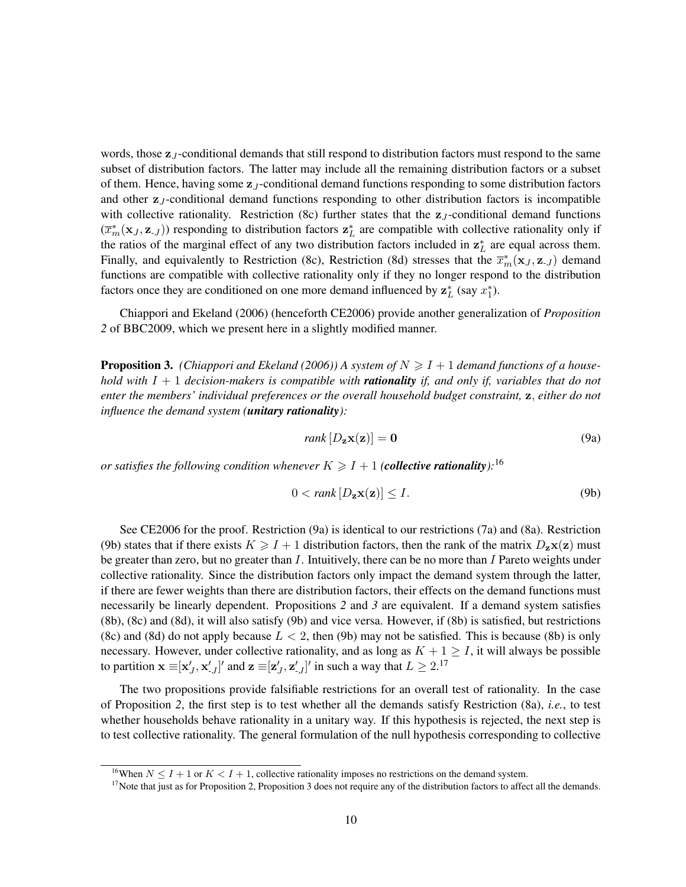words, those  $z_J$ -conditional demands that still respond to distribution factors must respond to the same subset of distribution factors. The latter may include all the remaining distribution factors or a subset of them. Hence, having some  $z_J$ -conditional demand functions responding to some distribution factors and other  $z_J$ -conditional demand functions responding to other distribution factors is incompatible with collective rationality. Restriction (8c) further states that the  $z_j$ -conditional demand functions  $(\overline{x}_m^*(\mathbf{x}_J, \mathbf{z}_{-J}))$  responding to distribution factors  $\mathbf{z}_L^*$  are compatible with collective rationality only if the ratios of the marginal effect of any two distribution factors included in  $z_L^*$  are equal across them. Finally, and equivalently to Restriction (8c), Restriction (8d) stresses that the  $\overline{x}_m^*(\mathbf{x}_J, \mathbf{z}_{-J})$  demand functions are compatible with collective rationality only if they no longer respond to the distribution factors once they are conditioned on one more demand influenced by  $z_L^*$  (say  $x_1^*$ ).

Chiappori and Ekeland (2006) (henceforth CE2006) provide another generalization of *Proposition 2* of BBC2009, which we present here in a slightly modified manner.

**Proposition 3.** (Chiappori and Ekeland (2006)) A system of  $N \geq I + 1$  demand functions of a house*hold with* I + 1 *decision-makers is compatible with rationality if, and only if, variables that do not enter the members' individual preferences or the overall household budget constraint,* z, *either do not influence the demand system (unitary rationality):*

$$
rank [D_{\mathbf{z}} \mathbf{x}(\mathbf{z})] = \mathbf{0}
$$
\n(9a)

*or satisfies the following condition whenever*  $K \geqslant I + 1$  *(collective rationality*):<sup>16</sup>

$$
0 < \text{rank}[D_{\mathbf{z}}\mathbf{x}(\mathbf{z})] \le I. \tag{9b}
$$

See CE2006 for the proof. Restriction (9a) is identical to our restrictions (7a) and (8a). Restriction (9b) states that if there exists  $K \geq 1 + 1$  distribution factors, then the rank of the matrix  $D_{z}\mathbf{x}(\mathbf{z})$  must be greater than zero, but no greater than  $I$ . Intuitively, there can be no more than  $I$  Pareto weights under collective rationality. Since the distribution factors only impact the demand system through the latter, if there are fewer weights than there are distribution factors, their effects on the demand functions must necessarily be linearly dependent. Propositions *2* and *3* are equivalent. If a demand system satisfies (8b), (8c) and (8d), it will also satisfy (9b) and vice versa. However, if (8b) is satisfied, but restrictions (8c) and (8d) do not apply because  $L < 2$ , then (9b) may not be satisfied. This is because (8b) is only necessary. However, under collective rationality, and as long as  $K + 1 \geq I$ , it will always be possible to partition  $\mathbf{x} \equiv [\mathbf{x}'_J, \mathbf{x}'_{J}]'$  and  $\mathbf{z} \equiv [\mathbf{z}'_J, \mathbf{z}'_{J}]'$  in such a way that  $L \geq 2$ .<sup>17</sup>

The two propositions provide falsifiable restrictions for an overall test of rationality. In the case of Proposition *2*, the first step is to test whether all the demands satisfy Restriction (8a), *i.e.*, to test whether households behave rationality in a unitary way. If this hypothesis is rejected, the next step is to test collective rationality. The general formulation of the null hypothesis corresponding to collective

<sup>&</sup>lt;sup>16</sup>When  $N \leq I + 1$  or  $K \leq I + 1$ , collective rationality imposes no restrictions on the demand system.

<sup>&</sup>lt;sup>17</sup>Note that just as for Proposition 2, Proposition 3 does not require any of the distribution factors to affect all the demands.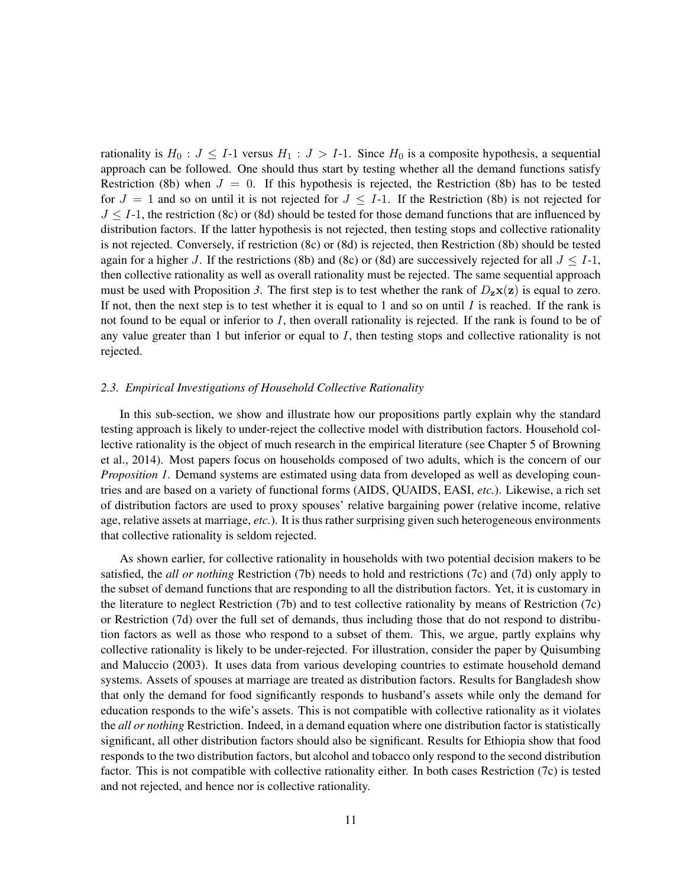rationality is  $H_0: J \leq I-1$  versus  $H_1: J > I-1$ . Since  $H_0$  is a composite hypothesis, a sequential approach can be followed. One should thus start by testing whether all the demand functions satisfy Restriction (8b) when  $J = 0$ . If this hypothesis is rejected, the Restriction (8b) has to be tested for  $J = 1$  and so on until it is not rejected for  $J \leq I-1$ . If the Restriction (8b) is not rejected for  $J \leq I-1$ , the restriction (8c) or (8d) should be tested for those demand functions that are influenced by distribution factors. If the latter hypothesis is not rejected, then testing stops and collective rationality is not rejected. Conversely, if restriction (8c) or (8d) is rejected, then Restriction (8b) should be tested again for a higher J. If the restrictions (8b) and (8c) or (8d) are successively rejected for all  $J \leq I-1$ , then collective rationality as well as overall rationality must be rejected. The same sequential approach must be used with Proposition 3. The first step is to test whether the rank of  $D_{z}\mathbf{x}(\mathbf{z})$  is equal to zero. If not, then the next step is to test whether it is equal to 1 and so on until  $I$  is reached. If the rank is not found to be equal or inferior to  $I$ , then overall rationality is rejected. If the rank is found to be of any value greater than  $1$  but inferior or equal to  $I$ , then testing stops and collective rationality is not rejected.

#### *2.3. Empirical Investigations of Household Collective Rationality*

In this sub-section, we show and illustrate how our propositions partly explain why the standard testing approach is likely to under-reject the collective model with distribution factors. Household collective rationality is the object of much research in the empirical literature (see Chapter 5 of Browning et al., 2014). Most papers focus on households composed of two adults, which is the concern of our *Proposition 1*. Demand systems are estimated using data from developed as well as developing countries and are based on a variety of functional forms (AIDS, QUAIDS, EASI, *etc.*). Likewise, a rich set of distribution factors are used to proxy spouses' relative bargaining power (relative income, relative age, relative assets at marriage, *etc.*). It is thus rather surprising given such heterogeneous environments that collective rationality is seldom rejected.

As shown earlier, for collective rationality in households with two potential decision makers to be satisfied, the *all or nothing* Restriction (7b) needs to hold and restrictions (7c) and (7d) only apply to the subset of demand functions that are responding to all the distribution factors. Yet, it is customary in the literature to neglect Restriction (7b) and to test collective rationality by means of Restriction (7c) or Restriction (7d) over the full set of demands, thus including those that do not respond to distribution factors as well as those who respond to a subset of them. This, we argue, partly explains why collective rationality is likely to be under-rejected. For illustration, consider the paper by Quisumbing and Maluccio (2003). It uses data from various developing countries to estimate household demand systems. Assets of spouses at marriage are treated as distribution factors. Results for Bangladesh show that only the demand for food significantly responds to husband's assets while only the demand for education responds to the wife's assets. This is not compatible with collective rationality as it violates the *all or nothing* Restriction. Indeed, in a demand equation where one distribution factor is statistically significant, all other distribution factors should also be significant. Results for Ethiopia show that food responds to the two distribution factors, but alcohol and tobacco only respond to the second distribution factor. This is not compatible with collective rationality either. In both cases Restriction (7c) is tested and not rejected, and hence nor is collective rationality.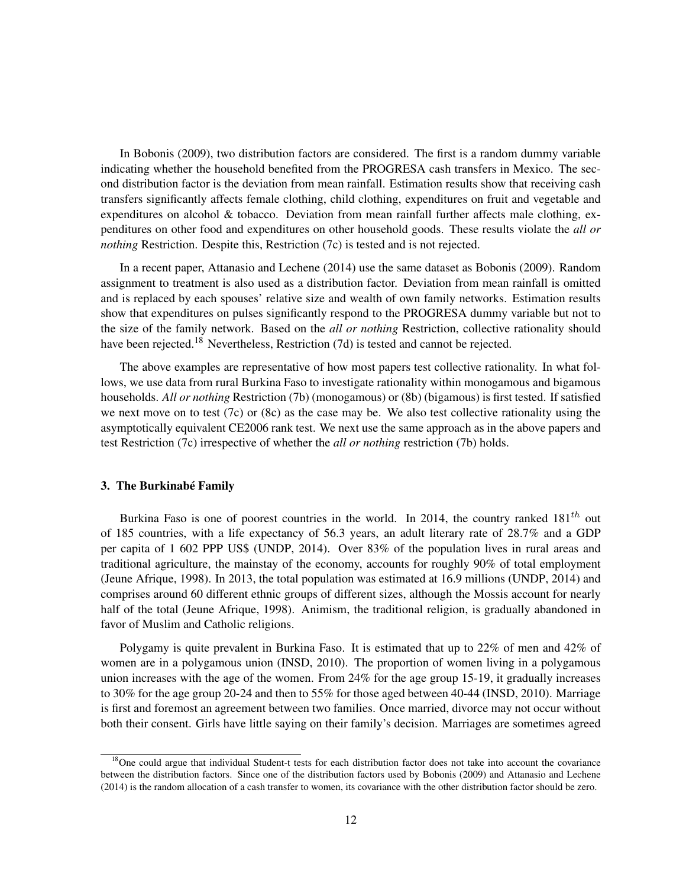In Bobonis (2009), two distribution factors are considered. The first is a random dummy variable indicating whether the household benefited from the PROGRESA cash transfers in Mexico. The second distribution factor is the deviation from mean rainfall. Estimation results show that receiving cash transfers significantly affects female clothing, child clothing, expenditures on fruit and vegetable and expenditures on alcohol & tobacco. Deviation from mean rainfall further affects male clothing, expenditures on other food and expenditures on other household goods. These results violate the *all or nothing* Restriction. Despite this, Restriction (7c) is tested and is not rejected.

In a recent paper, Attanasio and Lechene (2014) use the same dataset as Bobonis (2009). Random assignment to treatment is also used as a distribution factor. Deviation from mean rainfall is omitted and is replaced by each spouses' relative size and wealth of own family networks. Estimation results show that expenditures on pulses significantly respond to the PROGRESA dummy variable but not to the size of the family network. Based on the *all or nothing* Restriction, collective rationality should have been rejected.<sup>18</sup> Nevertheless, Restriction  $(7d)$  is tested and cannot be rejected.

The above examples are representative of how most papers test collective rationality. In what follows, we use data from rural Burkina Faso to investigate rationality within monogamous and bigamous households. *All or nothing* Restriction (7b) (monogamous) or (8b) (bigamous) is first tested. If satisfied we next move on to test (7c) or (8c) as the case may be. We also test collective rationality using the asymptotically equivalent CE2006 rank test. We next use the same approach as in the above papers and test Restriction (7c) irrespective of whether the *all or nothing* restriction (7b) holds.

#### 3. The Burkinabé Family

Burkina Faso is one of poorest countries in the world. In 2014, the country ranked  $181<sup>th</sup>$  out of 185 countries, with a life expectancy of 56.3 years, an adult literary rate of 28.7% and a GDP per capita of 1 602 PPP US\$ (UNDP, 2014). Over 83% of the population lives in rural areas and traditional agriculture, the mainstay of the economy, accounts for roughly 90% of total employment (Jeune Afrique, 1998). In 2013, the total population was estimated at 16.9 millions (UNDP, 2014) and comprises around 60 different ethnic groups of different sizes, although the Mossis account for nearly half of the total (Jeune Afrique, 1998). Animism, the traditional religion, is gradually abandoned in favor of Muslim and Catholic religions.

Polygamy is quite prevalent in Burkina Faso. It is estimated that up to 22% of men and 42% of women are in a polygamous union (INSD, 2010). The proportion of women living in a polygamous union increases with the age of the women. From 24% for the age group 15-19, it gradually increases to 30% for the age group 20-24 and then to 55% for those aged between 40-44 (INSD, 2010). Marriage is first and foremost an agreement between two families. Once married, divorce may not occur without both their consent. Girls have little saying on their family's decision. Marriages are sometimes agreed

<sup>&</sup>lt;sup>18</sup>One could argue that individual Student-t tests for each distribution factor does not take into account the covariance between the distribution factors. Since one of the distribution factors used by Bobonis (2009) and Attanasio and Lechene (2014) is the random allocation of a cash transfer to women, its covariance with the other distribution factor should be zero.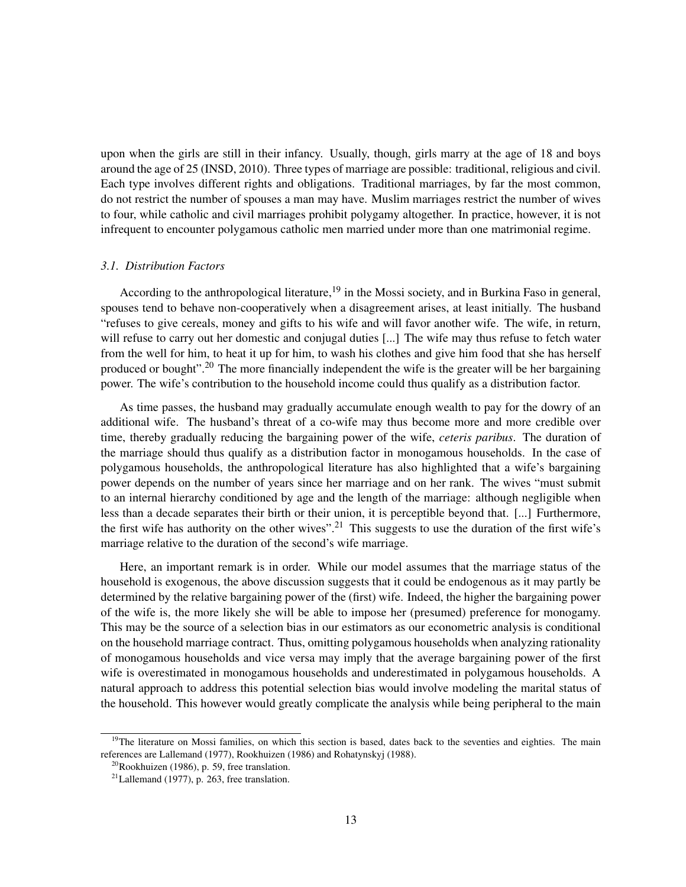upon when the girls are still in their infancy. Usually, though, girls marry at the age of 18 and boys around the age of 25 (INSD, 2010). Three types of marriage are possible: traditional, religious and civil. Each type involves different rights and obligations. Traditional marriages, by far the most common, do not restrict the number of spouses a man may have. Muslim marriages restrict the number of wives to four, while catholic and civil marriages prohibit polygamy altogether. In practice, however, it is not infrequent to encounter polygamous catholic men married under more than one matrimonial regime.

#### *3.1. Distribution Factors*

According to the anthropological literature,<sup>19</sup> in the Mossi society, and in Burkina Faso in general, spouses tend to behave non-cooperatively when a disagreement arises, at least initially. The husband "refuses to give cereals, money and gifts to his wife and will favor another wife. The wife, in return, will refuse to carry out her domestic and conjugal duties [...] The wife may thus refuse to fetch water from the well for him, to heat it up for him, to wash his clothes and give him food that she has herself produced or bought".<sup>20</sup> The more financially independent the wife is the greater will be her bargaining power. The wife's contribution to the household income could thus qualify as a distribution factor.

As time passes, the husband may gradually accumulate enough wealth to pay for the dowry of an additional wife. The husband's threat of a co-wife may thus become more and more credible over time, thereby gradually reducing the bargaining power of the wife, *ceteris paribus*. The duration of the marriage should thus qualify as a distribution factor in monogamous households. In the case of polygamous households, the anthropological literature has also highlighted that a wife's bargaining power depends on the number of years since her marriage and on her rank. The wives "must submit to an internal hierarchy conditioned by age and the length of the marriage: although negligible when less than a decade separates their birth or their union, it is perceptible beyond that. [...] Furthermore, the first wife has authority on the other wives".<sup>21</sup> This suggests to use the duration of the first wife's marriage relative to the duration of the second's wife marriage.

Here, an important remark is in order. While our model assumes that the marriage status of the household is exogenous, the above discussion suggests that it could be endogenous as it may partly be determined by the relative bargaining power of the (first) wife. Indeed, the higher the bargaining power of the wife is, the more likely she will be able to impose her (presumed) preference for monogamy. This may be the source of a selection bias in our estimators as our econometric analysis is conditional on the household marriage contract. Thus, omitting polygamous households when analyzing rationality of monogamous households and vice versa may imply that the average bargaining power of the first wife is overestimated in monogamous households and underestimated in polygamous households. A natural approach to address this potential selection bias would involve modeling the marital status of the household. This however would greatly complicate the analysis while being peripheral to the main

<sup>&</sup>lt;sup>19</sup>The literature on Mossi families, on which this section is based, dates back to the seventies and eighties. The main references are Lallemand (1977), Rookhuizen (1986) and Rohatynskyj (1988).

 $20R$ ookhuizen (1986), p. 59, free translation.

 $21$ Lallemand (1977), p. 263, free translation.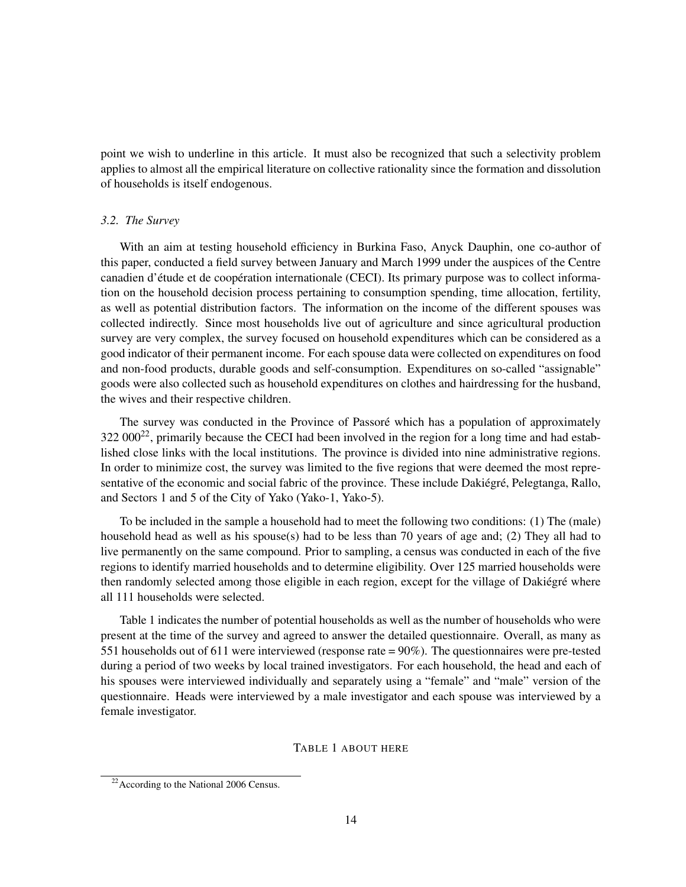point we wish to underline in this article. It must also be recognized that such a selectivity problem applies to almost all the empirical literature on collective rationality since the formation and dissolution of households is itself endogenous.

#### *3.2. The Survey*

With an aim at testing household efficiency in Burkina Faso, Anyck Dauphin, one co-author of this paper, conducted a field survey between January and March 1999 under the auspices of the Centre canadien d'étude et de coopération internationale (CECI). Its primary purpose was to collect information on the household decision process pertaining to consumption spending, time allocation, fertility, as well as potential distribution factors. The information on the income of the different spouses was collected indirectly. Since most households live out of agriculture and since agricultural production survey are very complex, the survey focused on household expenditures which can be considered as a good indicator of their permanent income. For each spouse data were collected on expenditures on food and non-food products, durable goods and self-consumption. Expenditures on so-called "assignable" goods were also collected such as household expenditures on clothes and hairdressing for the husband, the wives and their respective children.

The survey was conducted in the Province of Passoré which has a population of approximately  $322\,000^{22}$ , primarily because the CECI had been involved in the region for a long time and had established close links with the local institutions. The province is divided into nine administrative regions. In order to minimize cost, the survey was limited to the five regions that were deemed the most representative of the economic and social fabric of the province. These include Dakiégré, Pelegtanga, Rallo, and Sectors 1 and 5 of the City of Yako (Yako-1, Yako-5).

To be included in the sample a household had to meet the following two conditions: (1) The (male) household head as well as his spouse(s) had to be less than 70 years of age and; (2) They all had to live permanently on the same compound. Prior to sampling, a census was conducted in each of the five regions to identify married households and to determine eligibility. Over 125 married households were then randomly selected among those eligible in each region, except for the village of Dakiégré where all 111 households were selected.

Table 1 indicates the number of potential households as well as the number of households who were present at the time of the survey and agreed to answer the detailed questionnaire. Overall, as many as 551 households out of 611 were interviewed (response rate = 90%). The questionnaires were pre-tested during a period of two weeks by local trained investigators. For each household, the head and each of his spouses were interviewed individually and separately using a "female" and "male" version of the questionnaire. Heads were interviewed by a male investigator and each spouse was interviewed by a female investigator.

#### TABLE 1 ABOUT HERE

 $22$ According to the National 2006 Census.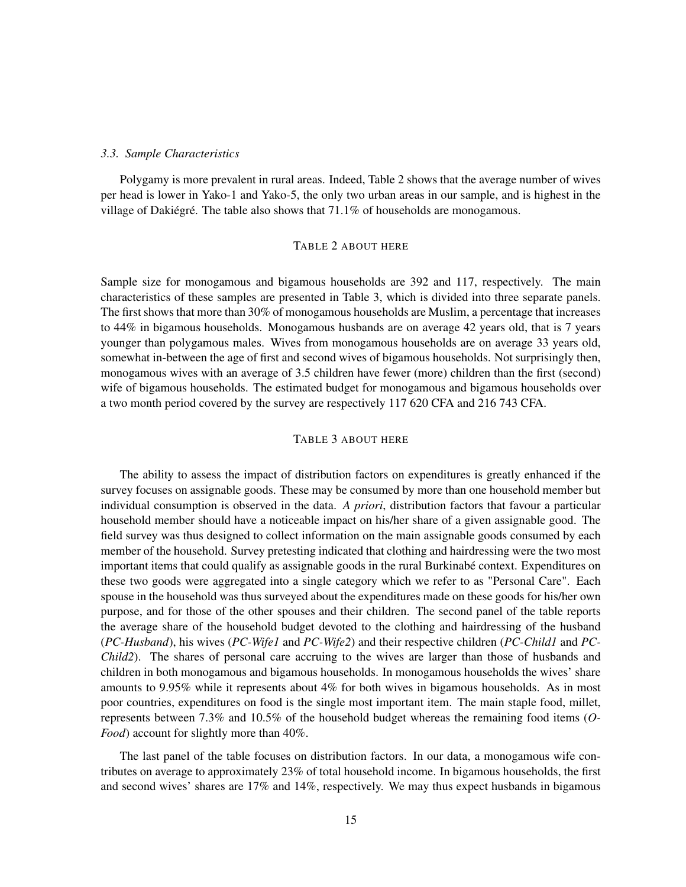#### *3.3. Sample Characteristics*

Polygamy is more prevalent in rural areas. Indeed, Table 2 shows that the average number of wives per head is lower in Yako-1 and Yako-5, the only two urban areas in our sample, and is highest in the village of Dakiégré. The table also shows that 71.1% of households are monogamous.

#### TABLE 2 ABOUT HERE

Sample size for monogamous and bigamous households are 392 and 117, respectively. The main characteristics of these samples are presented in Table 3, which is divided into three separate panels. The first shows that more than 30% of monogamous households are Muslim, a percentage that increases to 44% in bigamous households. Monogamous husbands are on average 42 years old, that is 7 years younger than polygamous males. Wives from monogamous households are on average 33 years old, somewhat in-between the age of first and second wives of bigamous households. Not surprisingly then, monogamous wives with an average of 3.5 children have fewer (more) children than the first (second) wife of bigamous households. The estimated budget for monogamous and bigamous households over a two month period covered by the survey are respectively 117 620 CFA and 216 743 CFA.

#### TABLE 3 ABOUT HERE

The ability to assess the impact of distribution factors on expenditures is greatly enhanced if the survey focuses on assignable goods. These may be consumed by more than one household member but individual consumption is observed in the data. *A priori*, distribution factors that favour a particular household member should have a noticeable impact on his/her share of a given assignable good. The field survey was thus designed to collect information on the main assignable goods consumed by each member of the household. Survey pretesting indicated that clothing and hairdressing were the two most important items that could qualify as assignable goods in the rural Burkinabé context. Expenditures on these two goods were aggregated into a single category which we refer to as "Personal Care". Each spouse in the household was thus surveyed about the expenditures made on these goods for his/her own purpose, and for those of the other spouses and their children. The second panel of the table reports the average share of the household budget devoted to the clothing and hairdressing of the husband (*PC-Husband*), his wives (*PC-Wife1* and *PC-Wife2*) and their respective children (*PC-Child1* and *PC-Child2*). The shares of personal care accruing to the wives are larger than those of husbands and children in both monogamous and bigamous households. In monogamous households the wives' share amounts to 9.95% while it represents about 4% for both wives in bigamous households. As in most poor countries, expenditures on food is the single most important item. The main staple food, millet, represents between 7.3% and 10.5% of the household budget whereas the remaining food items (*O-Food*) account for slightly more than 40%.

The last panel of the table focuses on distribution factors. In our data, a monogamous wife contributes on average to approximately 23% of total household income. In bigamous households, the first and second wives' shares are 17% and 14%, respectively. We may thus expect husbands in bigamous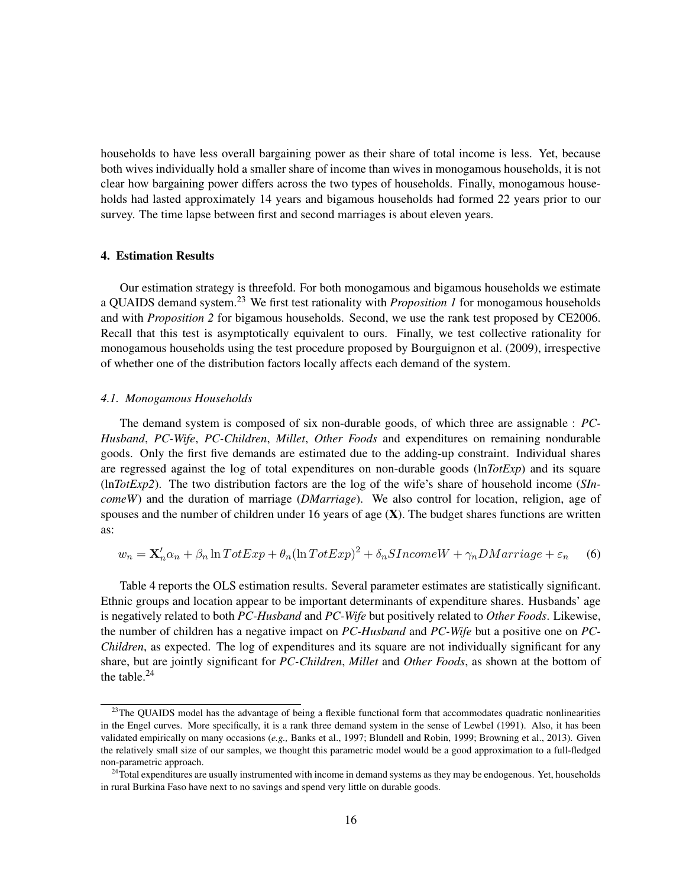households to have less overall bargaining power as their share of total income is less. Yet, because both wives individually hold a smaller share of income than wives in monogamous households, it is not clear how bargaining power differs across the two types of households. Finally, monogamous households had lasted approximately 14 years and bigamous households had formed 22 years prior to our survey. The time lapse between first and second marriages is about eleven years.

#### 4. Estimation Results

Our estimation strategy is threefold. For both monogamous and bigamous households we estimate a QUAIDS demand system.<sup>23</sup> We first test rationality with *Proposition 1* for monogamous households and with *Proposition 2* for bigamous households. Second, we use the rank test proposed by CE2006. Recall that this test is asymptotically equivalent to ours. Finally, we test collective rationality for monogamous households using the test procedure proposed by Bourguignon et al. (2009), irrespective of whether one of the distribution factors locally affects each demand of the system.

#### *4.1. Monogamous Households*

The demand system is composed of six non-durable goods, of which three are assignable : *PC-Husband*, *PC-Wife*, *PC-Children*, *Millet*, *Other Foods* and expenditures on remaining nondurable goods. Only the first five demands are estimated due to the adding-up constraint. Individual shares are regressed against the log of total expenditures on non-durable goods (ln*TotExp*) and its square (ln*TotExp2*). The two distribution factors are the log of the wife's share of household income (*SIncomeW*) and the duration of marriage (*DMarriage*). We also control for location, religion, age of spouses and the number of children under 16 years of age  $(X)$ . The budget shares functions are written as:

$$
w_n = \mathbf{X}_n' \alpha_n + \beta_n \ln T \sigma t E x p + \theta_n (\ln T \sigma t E x p)^2 + \delta_n S Income W + \gamma_n DMarriage + \varepsilon_n \tag{6}
$$

Table 4 reports the OLS estimation results. Several parameter estimates are statistically significant. Ethnic groups and location appear to be important determinants of expenditure shares. Husbands' age is negatively related to both *PC-Husband* and *PC-Wife* but positively related to *Other Foods*. Likewise, the number of children has a negative impact on *PC-Husband* and *PC-Wife* but a positive one on *PC-Children*, as expected. The log of expenditures and its square are not individually significant for any share, but are jointly significant for *PC-Children*, *Millet* and *Other Foods*, as shown at the bottom of the table.<sup>24</sup>

<sup>&</sup>lt;sup>23</sup>The QUAIDS model has the advantage of being a flexible functional form that accommodates quadratic nonlinearities in the Engel curves. More specifically, it is a rank three demand system in the sense of Lewbel (1991). Also, it has been validated empirically on many occasions (*e.g.,* Banks et al., 1997; Blundell and Robin, 1999; Browning et al., 2013). Given the relatively small size of our samples, we thought this parametric model would be a good approximation to a full-fledged non-parametric approach.

 $24$ Total expenditures are usually instrumented with income in demand systems as they may be endogenous. Yet, households in rural Burkina Faso have next to no savings and spend very little on durable goods.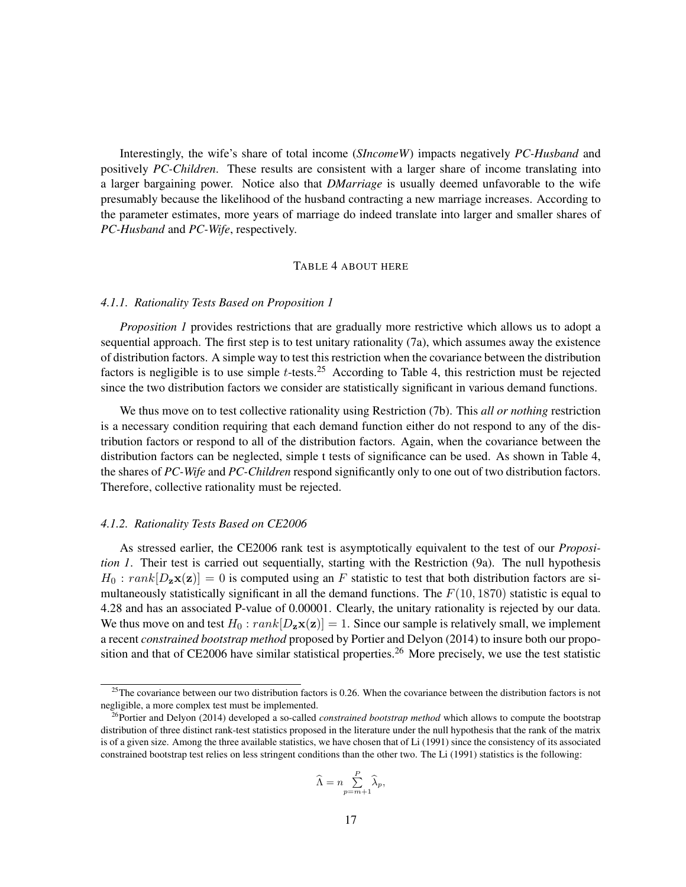Interestingly, the wife's share of total income (*SIncomeW*) impacts negatively *PC-Husband* and positively *PC-Children*. These results are consistent with a larger share of income translating into a larger bargaining power. Notice also that *DMarriage* is usually deemed unfavorable to the wife presumably because the likelihood of the husband contracting a new marriage increases. According to the parameter estimates, more years of marriage do indeed translate into larger and smaller shares of *PC-Husband* and *PC-Wife*, respectively.

#### TABLE 4 ABOUT HERE

#### *4.1.1. Rationality Tests Based on Proposition 1*

*Proposition 1* provides restrictions that are gradually more restrictive which allows us to adopt a sequential approach. The first step is to test unitary rationality (7a), which assumes away the existence of distribution factors. A simple way to test this restriction when the covariance between the distribution factors is negligible is to use simple  $t$ -tests.<sup>25</sup> According to Table 4, this restriction must be rejected since the two distribution factors we consider are statistically significant in various demand functions.

We thus move on to test collective rationality using Restriction (7b). This *all or nothing* restriction is a necessary condition requiring that each demand function either do not respond to any of the distribution factors or respond to all of the distribution factors. Again, when the covariance between the distribution factors can be neglected, simple t tests of significance can be used. As shown in Table 4, the shares of *PC-Wife* and *PC-Children* respond significantly only to one out of two distribution factors. Therefore, collective rationality must be rejected.

#### *4.1.2. Rationality Tests Based on CE2006*

As stressed earlier, the CE2006 rank test is asymptotically equivalent to the test of our *Proposition 1*. Their test is carried out sequentially, starting with the Restriction (9a). The null hypothesis  $H_0: rank[D_{\mathbf{z}}\mathbf{x}(\mathbf{z})] = 0$  is computed using an F statistic to test that both distribution factors are simultaneously statistically significant in all the demand functions. The  $F(10, 1870)$  statistic is equal to 4.28 and has an associated P-value of 0.00001. Clearly, the unitary rationality is rejected by our data. We thus move on and test  $H_0: rank[D_x \mathbf{x}(z)] = 1$ . Since our sample is relatively small, we implement a recent *constrained bootstrap method* proposed by Portier and Delyon (2014) to insure both our proposition and that of CE2006 have similar statistical properties.<sup>26</sup> More precisely, we use the test statistic

$$
\widehat{\Lambda} = n \sum_{p=m+1}^P \widehat{\lambda}_p,
$$

 $25$ The covariance between our two distribution factors is 0.26. When the covariance between the distribution factors is not negligible, a more complex test must be implemented.

<sup>&</sup>lt;sup>26</sup>Portier and Delyon (2014) developed a so-called *constrained bootstrap method* which allows to compute the bootstrap distribution of three distinct rank-test statistics proposed in the literature under the null hypothesis that the rank of the matrix is of a given size. Among the three available statistics, we have chosen that of Li (1991) since the consistency of its associated constrained bootstrap test relies on less stringent conditions than the other two. The Li (1991) statistics is the following: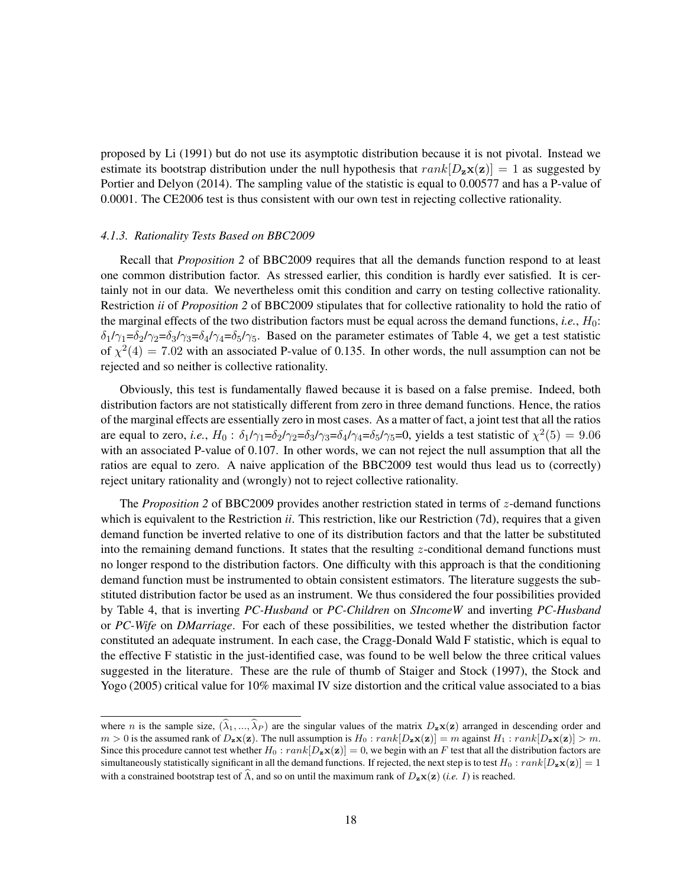proposed by Li (1991) but do not use its asymptotic distribution because it is not pivotal. Instead we estimate its bootstrap distribution under the null hypothesis that  $rank[D_{z}\mathbf{x}(z)] = 1$  as suggested by Portier and Delyon (2014). The sampling value of the statistic is equal to 0.00577 and has a P-value of 0.0001. The CE2006 test is thus consistent with our own test in rejecting collective rationality.

#### *4.1.3. Rationality Tests Based on BBC2009*

Recall that *Proposition 2* of BBC2009 requires that all the demands function respond to at least one common distribution factor. As stressed earlier, this condition is hardly ever satisfied. It is certainly not in our data. We nevertheless omit this condition and carry on testing collective rationality. Restriction *ii* of *Proposition 2* of BBC2009 stipulates that for collective rationality to hold the ratio of the marginal effects of the two distribution factors must be equal across the demand functions, *i.e.*,  $H_0$ :  $\delta_1/\gamma_1=\delta_2/\gamma_2=\delta_3/\gamma_3=\delta_4/\gamma_4=\delta_5/\gamma_5$ . Based on the parameter estimates of Table 4, we get a test statistic of  $\chi^2(4) = 7.02$  with an associated P-value of 0.135. In other words, the null assumption can not be rejected and so neither is collective rationality.

Obviously, this test is fundamentally flawed because it is based on a false premise. Indeed, both distribution factors are not statistically different from zero in three demand functions. Hence, the ratios of the marginal effects are essentially zero in most cases. As a matter of fact, a joint test that all the ratios are equal to zero, *i.e.*,  $H_0$ :  $\delta_1/\gamma_1 = \delta_2/\gamma_2 = \delta_3/\gamma_3 = \delta_4/\gamma_4 = \delta_5/\gamma_5 = 0$ , yields a test statistic of  $\chi^2(5) = 9.06$ with an associated P-value of 0.107. In other words, we can not reject the null assumption that all the ratios are equal to zero. A naive application of the BBC2009 test would thus lead us to (correctly) reject unitary rationality and (wrongly) not to reject collective rationality.

The *Proposition 2* of BBC2009 provides another restriction stated in terms of z-demand functions which is equivalent to the Restriction *ii*. This restriction, like our Restriction (7d), requires that a given demand function be inverted relative to one of its distribution factors and that the latter be substituted into the remaining demand functions. It states that the resulting  $z$ -conditional demand functions must no longer respond to the distribution factors. One difficulty with this approach is that the conditioning demand function must be instrumented to obtain consistent estimators. The literature suggests the substituted distribution factor be used as an instrument. We thus considered the four possibilities provided by Table 4, that is inverting *PC-Husband* or *PC-Children* on *SIncomeW* and inverting *PC-Husband* or *PC-Wife* on *DMarriage*. For each of these possibilities, we tested whether the distribution factor constituted an adequate instrument. In each case, the Cragg-Donald Wald F statistic, which is equal to the effective F statistic in the just-identified case, was found to be well below the three critical values suggested in the literature. These are the rule of thumb of Staiger and Stock (1997), the Stock and Yogo (2005) critical value for 10% maximal IV size distortion and the critical value associated to a bias

where n is the sample size,  $(\hat{\lambda}_1, ..., \hat{\lambda}_P)$  are the singular values of the matrix  $D_z\mathbf{x}(\mathbf{z})$  arranged in descending order and  $m > 0$  is the assumed rank of  $D_z \mathbf{x}(\mathbf{z})$ . The null assumption is  $H_0 : rank[D_z \mathbf{x}(\mathbf{z})] = m$  against  $H_1 : rank[D_z \mathbf{x}(\mathbf{z})] > m$ . Since this procedure cannot test whether  $H_0: rank[D_x \mathbf{x}(\mathbf{z})] = 0$ , we begin with an F test that all the distribution factors are simultaneously statistically significant in all the demand functions. If rejected, the next step is to test  $H_0: rank[D_x \mathbf{x}(z)] = 1$ with a constrained bootstrap test of  $\widehat{\Lambda}$ , and so on until the maximum rank of  $D_{\mathbf{z}}\mathbf{x}(\mathbf{z})$  (*i.e. I*) is reached.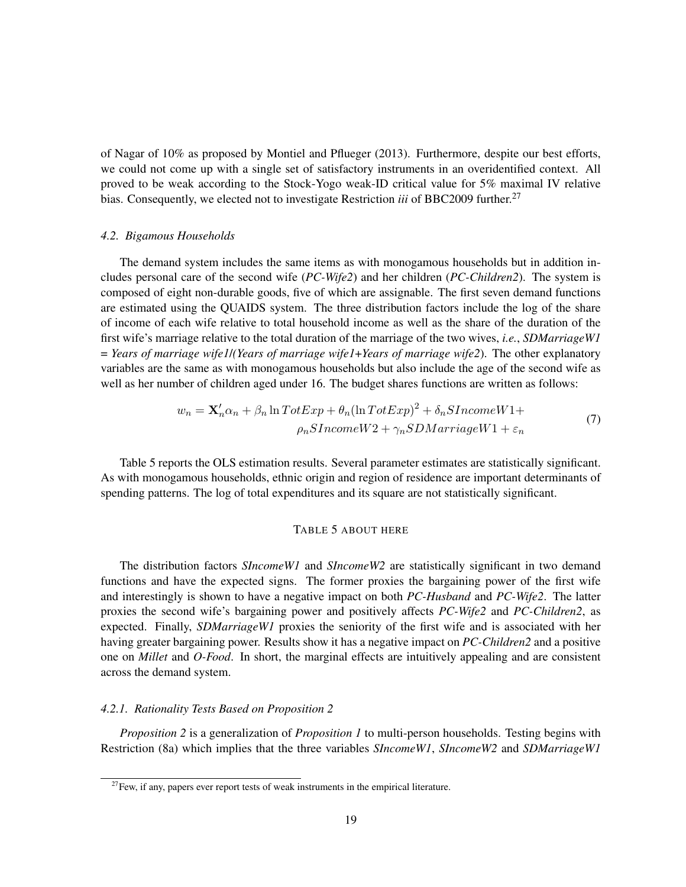of Nagar of 10% as proposed by Montiel and Pflueger (2013). Furthermore, despite our best efforts, we could not come up with a single set of satisfactory instruments in an overidentified context. All proved to be weak according to the Stock-Yogo weak-ID critical value for 5% maximal IV relative bias. Consequently, we elected not to investigate Restriction *iii* of BBC2009 further.<sup>27</sup>

#### *4.2. Bigamous Households*

The demand system includes the same items as with monogamous households but in addition includes personal care of the second wife (*PC-Wife2*) and her children (*PC-Children2*). The system is composed of eight non-durable goods, five of which are assignable. The first seven demand functions are estimated using the QUAIDS system. The three distribution factors include the log of the share of income of each wife relative to total household income as well as the share of the duration of the first wife's marriage relative to the total duration of the marriage of the two wives, *i.e.*, *SDMarriageW1* = *Years of marriage wife1*/*(Years of marriage wife1*+*Years of marriage wife2*). The other explanatory variables are the same as with monogamous households but also include the age of the second wife as well as her number of children aged under 16. The budget shares functions are written as follows:

$$
w_n = \mathbf{X}_n' \alpha_n + \beta_n \ln T \sigma t E x p + \theta_n (\ln T \sigma t E x p)^2 + \delta_n S Income W1 +
$$
  

$$
\rho_n S Income W2 + \gamma_n SDMarriage W1 + \varepsilon_n
$$
 (7)

Table 5 reports the OLS estimation results. Several parameter estimates are statistically significant. As with monogamous households, ethnic origin and region of residence are important determinants of spending patterns. The log of total expenditures and its square are not statistically significant.

#### TABLE 5 ABOUT HERE

The distribution factors *SIncomeW1* and *SIncomeW2* are statistically significant in two demand functions and have the expected signs. The former proxies the bargaining power of the first wife and interestingly is shown to have a negative impact on both *PC-Husband* and *PC-Wife2*. The latter proxies the second wife's bargaining power and positively affects *PC-Wife2* and *PC-Children2*, as expected. Finally, *SDMarriageW1* proxies the seniority of the first wife and is associated with her having greater bargaining power. Results show it has a negative impact on *PC-Children2* and a positive one on *Millet* and *O-Food*. In short, the marginal effects are intuitively appealing and are consistent across the demand system.

#### *4.2.1. Rationality Tests Based on Proposition 2*

*Proposition 2* is a generalization of *Proposition 1* to multi-person households. Testing begins with Restriction (8a) which implies that the three variables *SIncomeW1*, *SIncomeW2* and *SDMarriageW1*

 $27$ Few, if any, papers ever report tests of weak instruments in the empirical literature.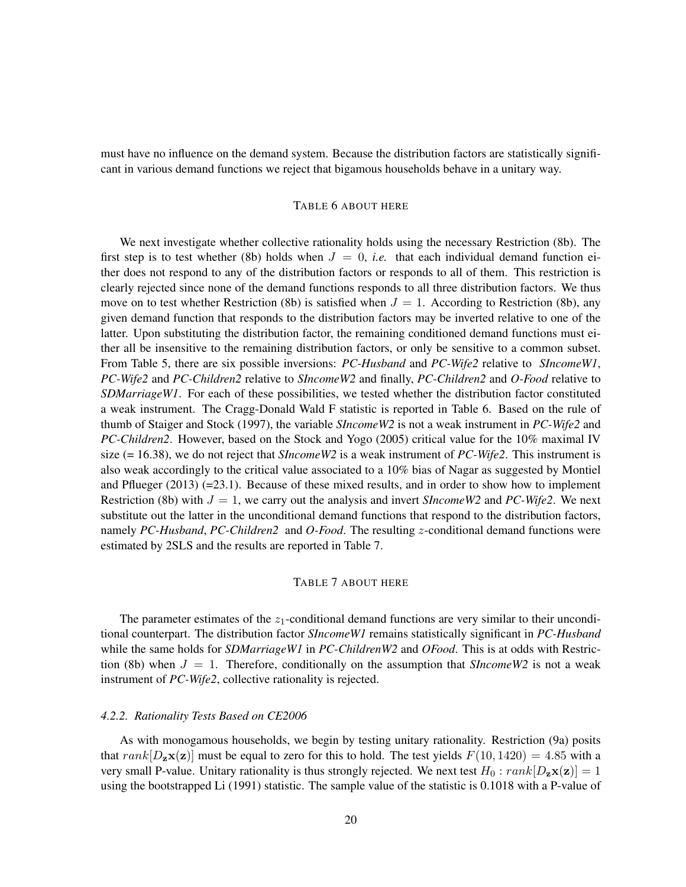must have no influence on the demand system. Because the distribution factors are statistically significant in various demand functions we reject that bigamous households behave in a unitary way.

#### TABLE 6 ABOUT HERE

We next investigate whether collective rationality holds using the necessary Restriction (8b). The first step is to test whether (8b) holds when  $J = 0$ , *i.e.* that each individual demand function either does not respond to any of the distribution factors or responds to all of them. This restriction is clearly rejected since none of the demand functions responds to all three distribution factors. We thus move on to test whether Restriction (8b) is satisfied when  $J = 1$ . According to Restriction (8b), any given demand function that responds to the distribution factors may be inverted relative to one of the latter. Upon substituting the distribution factor, the remaining conditioned demand functions must either all be insensitive to the remaining distribution factors, or only be sensitive to a common subset. From Table 5, there are six possible inversions: *PC-Husband* and *PC-Wife2* relative to *SIncomeW1*, *PC-Wife2* and *PC-Children2* relative to *SIncomeW2* and finally, *PC-Children2* and *O-Food* relative to *SDMarriageW1*. For each of these possibilities, we tested whether the distribution factor constituted a weak instrument. The Cragg-Donald Wald F statistic is reported in Table 6. Based on the rule of thumb of Staiger and Stock (1997), the variable *SIncomeW2* is not a weak instrument in *PC-Wife2* and *PC-Children2*. However, based on the Stock and Yogo (2005) critical value for the 10% maximal IV size (= 16.38), we do not reject that *SIncomeW2* is a weak instrument of *PC-Wife2*. This instrument is also weak accordingly to the critical value associated to a 10% bias of Nagar as suggested by Montiel and Pflueger (2013) (=23.1). Because of these mixed results, and in order to show how to implement Restriction (8b) with  $J = 1$ , we carry out the analysis and invert *SIncomeW2* and *PC-Wife2*. We next substitute out the latter in the unconditional demand functions that respond to the distribution factors, namely *PC-Husband*, *PC-Children2* and *O-Food*. The resulting z-conditional demand functions were estimated by 2SLS and the results are reported in Table 7.

#### TABLE 7 ABOUT HERE

The parameter estimates of the  $z_1$ -conditional demand functions are very similar to their unconditional counterpart. The distribution factor *SIncomeW1* remains statistically significant in *PC-Husband* while the same holds for *SDMarriageW1* in *PC-ChildrenW2* and *OFood*. This is at odds with Restriction (8b) when  $J = 1$ . Therefore, conditionally on the assumption that *SIncomeW2* is not a weak instrument of *PC-Wife2*, collective rationality is rejected.

#### *4.2.2. Rationality Tests Based on CE2006*

As with monogamous households, we begin by testing unitary rationality. Restriction (9a) posits that  $rank[D_{z}\mathbf{x}(z)]$  must be equal to zero for this to hold. The test yields  $F(10, 1420) = 4.85$  with a very small P-value. Unitary rationality is thus strongly rejected. We next test  $H_0: rank[D_x \mathbf{x}(\mathbf{z})] = 1$ using the bootstrapped Li (1991) statistic. The sample value of the statistic is 0.1018 with a P-value of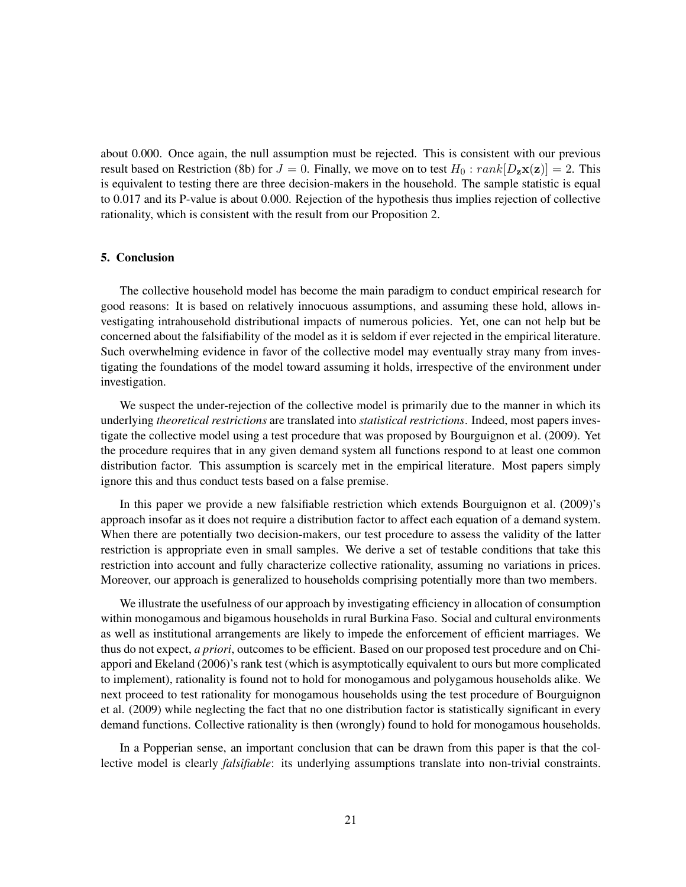about 0.000. Once again, the null assumption must be rejected. This is consistent with our previous result based on Restriction (8b) for  $J = 0$ . Finally, we move on to test  $H_0 : rank[D_{\mathbf{z}}\mathbf{x}(\mathbf{z})] = 2$ . This is equivalent to testing there are three decision-makers in the household. The sample statistic is equal to 0.017 and its P-value is about 0.000. Rejection of the hypothesis thus implies rejection of collective rationality, which is consistent with the result from our Proposition 2.

#### 5. Conclusion

The collective household model has become the main paradigm to conduct empirical research for good reasons: It is based on relatively innocuous assumptions, and assuming these hold, allows investigating intrahousehold distributional impacts of numerous policies. Yet, one can not help but be concerned about the falsifiability of the model as it is seldom if ever rejected in the empirical literature. Such overwhelming evidence in favor of the collective model may eventually stray many from investigating the foundations of the model toward assuming it holds, irrespective of the environment under investigation.

We suspect the under-rejection of the collective model is primarily due to the manner in which its underlying *theoretical restrictions* are translated into *statistical restrictions*. Indeed, most papers investigate the collective model using a test procedure that was proposed by Bourguignon et al. (2009). Yet the procedure requires that in any given demand system all functions respond to at least one common distribution factor. This assumption is scarcely met in the empirical literature. Most papers simply ignore this and thus conduct tests based on a false premise.

In this paper we provide a new falsifiable restriction which extends Bourguignon et al. (2009)'s approach insofar as it does not require a distribution factor to affect each equation of a demand system. When there are potentially two decision-makers, our test procedure to assess the validity of the latter restriction is appropriate even in small samples. We derive a set of testable conditions that take this restriction into account and fully characterize collective rationality, assuming no variations in prices. Moreover, our approach is generalized to households comprising potentially more than two members.

We illustrate the usefulness of our approach by investigating efficiency in allocation of consumption within monogamous and bigamous households in rural Burkina Faso. Social and cultural environments as well as institutional arrangements are likely to impede the enforcement of efficient marriages. We thus do not expect, *a priori*, outcomes to be efficient. Based on our proposed test procedure and on Chiappori and Ekeland (2006)'s rank test (which is asymptotically equivalent to ours but more complicated to implement), rationality is found not to hold for monogamous and polygamous households alike. We next proceed to test rationality for monogamous households using the test procedure of Bourguignon et al. (2009) while neglecting the fact that no one distribution factor is statistically significant in every demand functions. Collective rationality is then (wrongly) found to hold for monogamous households.

In a Popperian sense, an important conclusion that can be drawn from this paper is that the collective model is clearly *falsifiable*: its underlying assumptions translate into non-trivial constraints.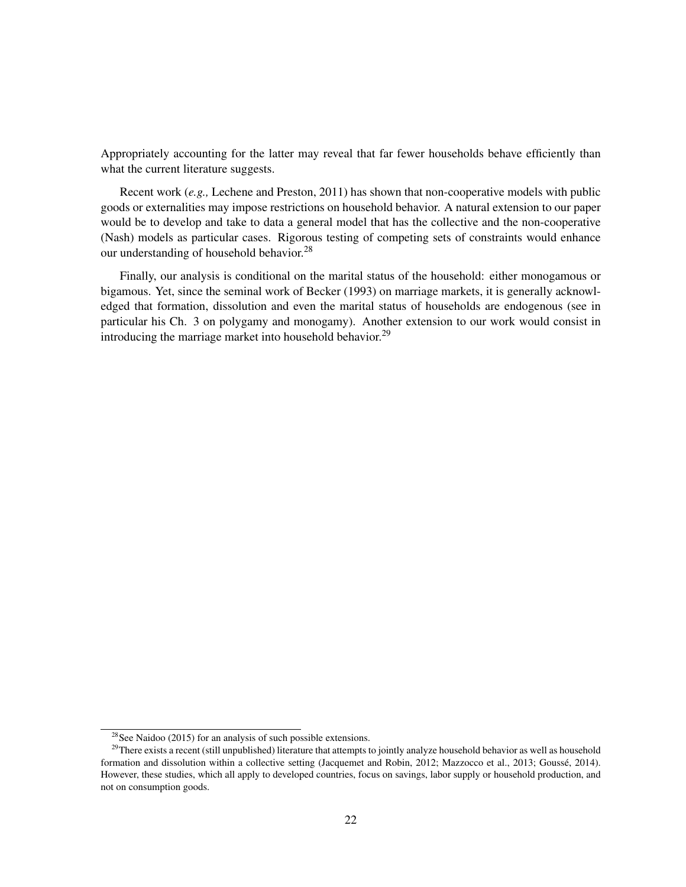Appropriately accounting for the latter may reveal that far fewer households behave efficiently than what the current literature suggests.

Recent work (*e.g.,* Lechene and Preston, 2011) has shown that non-cooperative models with public goods or externalities may impose restrictions on household behavior. A natural extension to our paper would be to develop and take to data a general model that has the collective and the non-cooperative (Nash) models as particular cases. Rigorous testing of competing sets of constraints would enhance our understanding of household behavior.<sup>28</sup>

Finally, our analysis is conditional on the marital status of the household: either monogamous or bigamous. Yet, since the seminal work of Becker (1993) on marriage markets, it is generally acknowledged that formation, dissolution and even the marital status of households are endogenous (see in particular his Ch. 3 on polygamy and monogamy). Another extension to our work would consist in introducing the marriage market into household behavior.<sup>29</sup>

 $28$ See Naidoo (2015) for an analysis of such possible extensions.

<sup>&</sup>lt;sup>29</sup>There exists a recent (still unpublished) literature that attempts to jointly analyze household behavior as well as household formation and dissolution within a collective setting (Jacquemet and Robin, 2012; Mazzocco et al., 2013; Goussé, 2014). However, these studies, which all apply to developed countries, focus on savings, labor supply or household production, and not on consumption goods.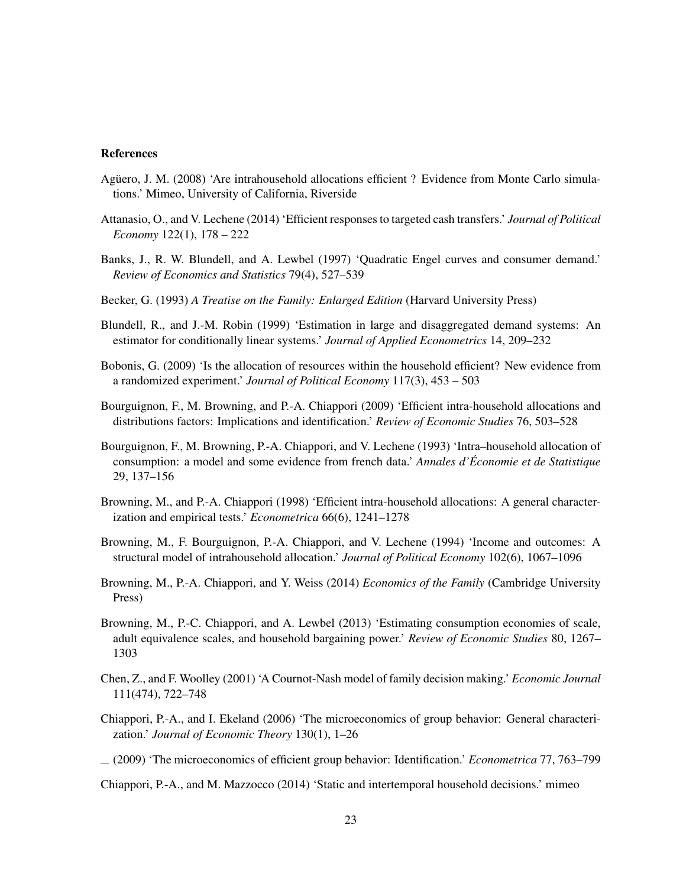#### References

- Agüero, J. M. (2008) 'Are intrahousehold allocations efficient ? Evidence from Monte Carlo simulations.' Mimeo, University of California, Riverside
- Attanasio, O., and V. Lechene (2014) 'Efficient responses to targeted cash transfers.' *Journal of Political Economy* 122(1), 178 – 222
- Banks, J., R. W. Blundell, and A. Lewbel (1997) 'Quadratic Engel curves and consumer demand.' *Review of Economics and Statistics* 79(4), 527–539
- Becker, G. (1993) *A Treatise on the Family: Enlarged Edition* (Harvard University Press)
- Blundell, R., and J.-M. Robin (1999) 'Estimation in large and disaggregated demand systems: An estimator for conditionally linear systems.' *Journal of Applied Econometrics* 14, 209–232
- Bobonis, G. (2009) 'Is the allocation of resources within the household efficient? New evidence from a randomized experiment.' *Journal of Political Economy* 117(3), 453 – 503
- Bourguignon, F., M. Browning, and P.-A. Chiappori (2009) 'Efficient intra-household allocations and distributions factors: Implications and identification.' *Review of Economic Studies* 76, 503–528
- Bourguignon, F., M. Browning, P.-A. Chiappori, and V. Lechene (1993) 'Intra–household allocation of consumption: a model and some evidence from french data.' *Annales d'Économie et de Statistique* 29, 137–156
- Browning, M., and P.-A. Chiappori (1998) 'Efficient intra-household allocations: A general characterization and empirical tests.' *Econometrica* 66(6), 1241–1278
- Browning, M., F. Bourguignon, P.-A. Chiappori, and V. Lechene (1994) 'Income and outcomes: A structural model of intrahousehold allocation.' *Journal of Political Economy* 102(6), 1067–1096
- Browning, M., P.-A. Chiappori, and Y. Weiss (2014) *Economics of the Family* (Cambridge University Press)
- Browning, M., P.-C. Chiappori, and A. Lewbel (2013) 'Estimating consumption economies of scale, adult equivalence scales, and household bargaining power.' *Review of Economic Studies* 80, 1267– 1303
- Chen, Z., and F. Woolley (2001) 'A Cournot-Nash model of family decision making.' *Economic Journal* 111(474), 722–748
- Chiappori, P.-A., and I. Ekeland (2006) 'The microeconomics of group behavior: General characterization.' *Journal of Economic Theory* 130(1), 1–26
- (2009) 'The microeconomics of efficient group behavior: Identification.' *Econometrica* 77, 763–799

Chiappori, P.-A., and M. Mazzocco (2014) 'Static and intertemporal household decisions.' mimeo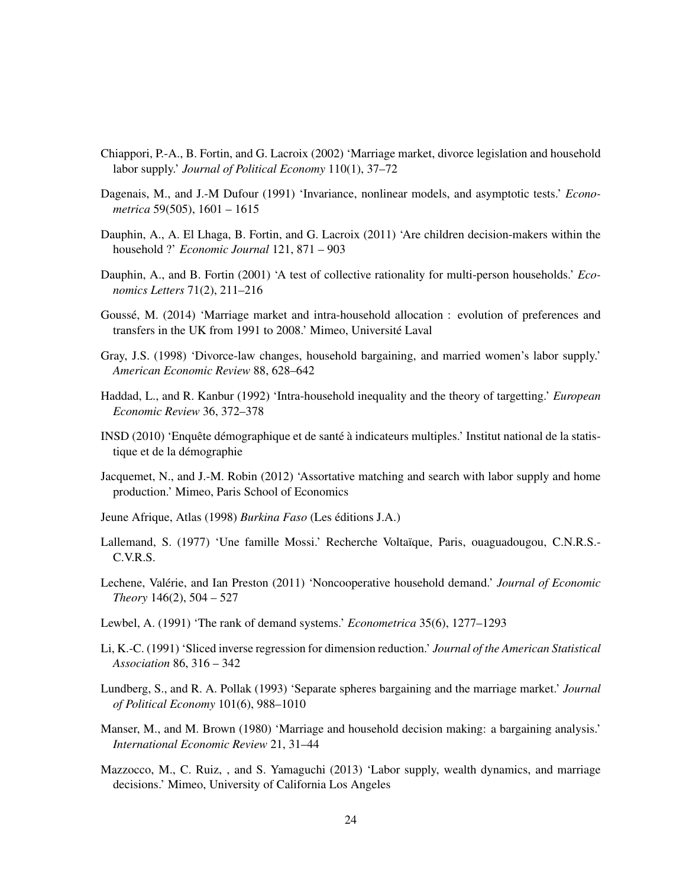- Chiappori, P.-A., B. Fortin, and G. Lacroix (2002) 'Marriage market, divorce legislation and household labor supply.' *Journal of Political Economy* 110(1), 37–72
- Dagenais, M., and J.-M Dufour (1991) 'Invariance, nonlinear models, and asymptotic tests.' *Econometrica* 59(505), 1601 – 1615
- Dauphin, A., A. El Lhaga, B. Fortin, and G. Lacroix (2011) 'Are children decision-makers within the household ?' *Economic Journal* 121, 871 – 903
- Dauphin, A., and B. Fortin (2001) 'A test of collective rationality for multi-person households.' *Economics Letters* 71(2), 211–216
- Goussé, M. (2014) 'Marriage market and intra-household allocation : evolution of preferences and transfers in the UK from 1991 to 2008.' Mimeo, Université Laval
- Gray, J.S. (1998) 'Divorce-law changes, household bargaining, and married women's labor supply.' *American Economic Review* 88, 628–642
- Haddad, L., and R. Kanbur (1992) 'Intra-household inequality and the theory of targetting.' *European Economic Review* 36, 372–378
- INSD (2010) 'Enquête démographique et de santé à indicateurs multiples.' Institut national de la statistique et de la démographie
- Jacquemet, N., and J.-M. Robin (2012) 'Assortative matching and search with labor supply and home production.' Mimeo, Paris School of Economics
- Jeune Afrique, Atlas (1998) *Burkina Faso* (Les éditions J.A.)
- Lallemand, S. (1977) 'Une famille Mossi.' Recherche Voltaïque, Paris, ouaguadougou, C.N.R.S.- C.V.R.S.
- Lechene, Valérie, and Ian Preston (2011) 'Noncooperative household demand.' *Journal of Economic Theory* 146(2), 504 – 527
- Lewbel, A. (1991) 'The rank of demand systems.' *Econometrica* 35(6), 1277–1293
- Li, K.-C. (1991) 'Sliced inverse regression for dimension reduction.' *Journal of the American Statistical Association* 86, 316 – 342
- Lundberg, S., and R. A. Pollak (1993) 'Separate spheres bargaining and the marriage market.' *Journal of Political Economy* 101(6), 988–1010
- Manser, M., and M. Brown (1980) 'Marriage and household decision making: a bargaining analysis.' *International Economic Review* 21, 31–44
- Mazzocco, M., C. Ruiz, , and S. Yamaguchi (2013) 'Labor supply, wealth dynamics, and marriage decisions.' Mimeo, University of California Los Angeles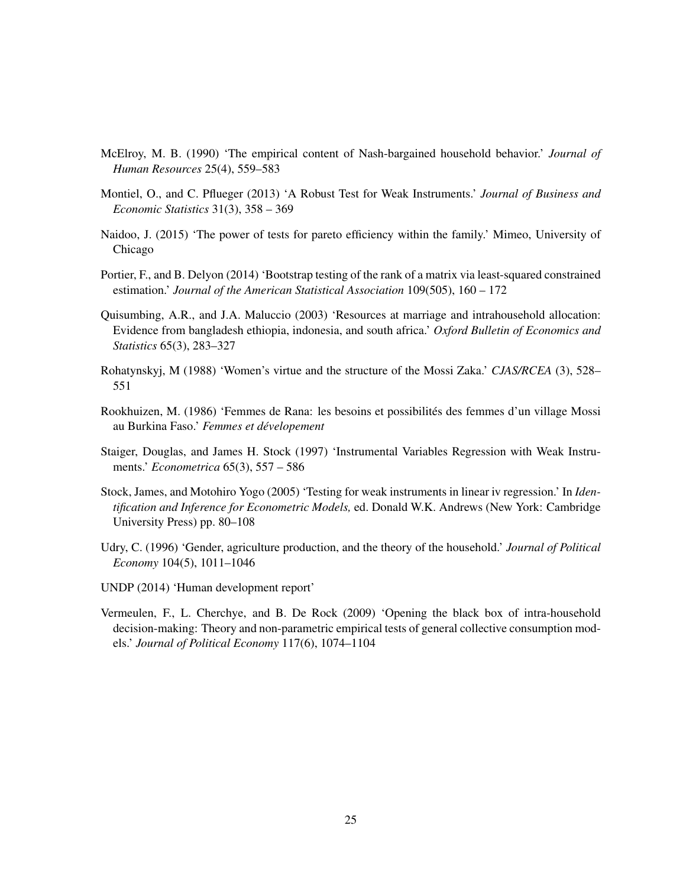- McElroy, M. B. (1990) 'The empirical content of Nash-bargained household behavior.' *Journal of Human Resources* 25(4), 559–583
- Montiel, O., and C. Pflueger (2013) 'A Robust Test for Weak Instruments.' *Journal of Business and Economic Statistics* 31(3), 358 – 369
- Naidoo, J. (2015) 'The power of tests for pareto efficiency within the family.' Mimeo, University of Chicago
- Portier, F., and B. Delyon (2014) 'Bootstrap testing of the rank of a matrix via least-squared constrained estimation.' *Journal of the American Statistical Association* 109(505), 160 – 172
- Quisumbing, A.R., and J.A. Maluccio (2003) 'Resources at marriage and intrahousehold allocation: Evidence from bangladesh ethiopia, indonesia, and south africa.' *Oxford Bulletin of Economics and Statistics* 65(3), 283–327
- Rohatynskyj, M (1988) 'Women's virtue and the structure of the Mossi Zaka.' *CJAS/RCEA* (3), 528– 551
- Rookhuizen, M. (1986) 'Femmes de Rana: les besoins et possibilités des femmes d'un village Mossi au Burkina Faso.' *Femmes et dévelopement*
- Staiger, Douglas, and James H. Stock (1997) 'Instrumental Variables Regression with Weak Instruments.' *Econometrica* 65(3), 557 – 586
- Stock, James, and Motohiro Yogo (2005) 'Testing for weak instruments in linear iv regression.' In *Identification and Inference for Econometric Models,* ed. Donald W.K. Andrews (New York: Cambridge University Press) pp. 80–108
- Udry, C. (1996) 'Gender, agriculture production, and the theory of the household.' *Journal of Political Economy* 104(5), 1011–1046
- UNDP (2014) 'Human development report'
- Vermeulen, F., L. Cherchye, and B. De Rock (2009) 'Opening the black box of intra-household decision-making: Theory and non-parametric empirical tests of general collective consumption models.' *Journal of Political Economy* 117(6), 1074–1104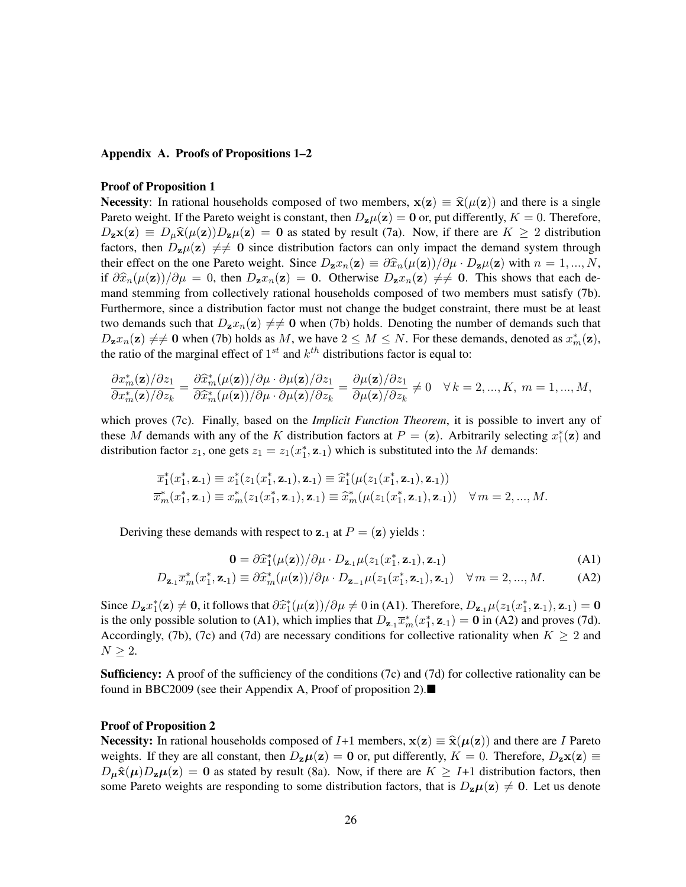#### Appendix A. Proofs of Propositions 1–2

#### Proof of Proposition 1

**Necessity**: In rational households composed of two members,  $x(z) \equiv \hat{x}(\mu(z))$  and there is a single Pareto weight. If the Pareto weight is constant, then  $D_{z\mu}(z) = 0$  or, put differently,  $K = 0$ . Therefore,  $D_z\mathbf{x}(\mathbf{z}) \equiv D_\mu\hat{\mathbf{x}}(\mu(\mathbf{z}))D_z\mu(\mathbf{z}) = \mathbf{0}$  as stated by result (7a). Now, if there are  $K \geq 2$  distribution factors, then  $D_{\mathbf{z}}\mu(\mathbf{z}) \neq 0$  since distribution factors can only impact the demand system through their effect on the one Pareto weight. Since  $D_2 x_n(z) \equiv \partial \hat{x}_n(\mu(z))/\partial \mu \cdot D_2\mu(z)$  with  $n = 1, ..., N$ , if  $\frac{\partial \hat{x}_n(\mu(\mathbf{z}))}{\partial \mu} = 0$ , then  $D_{\mathbf{z}}x_n(\mathbf{z}) = 0$ . Otherwise  $D_{\mathbf{z}}x_n(\mathbf{z}) \neq 0$ . This shows that each demand stemming from collectively rational households composed of two members must satisfy (7b). Furthermore, since a distribution factor must not change the budget constraint, there must be at least two demands such that  $D_z x_n(z) \neq 0$  when (7b) holds. Denoting the number of demands such that  $D_z x_n(z) \neq 0$  when (7b) holds as M, we have  $2 \leq M \leq N$ . For these demands, denoted as  $x_m^*(z)$ , the ratio of the marginal effect of  $1^{st}$  and  $k^{th}$  distributions factor is equal to:

$$
\frac{\partial x_m^*(\mathbf{z})/\partial z_1}{\partial x_m^*(\mathbf{z})/\partial z_k} = \frac{\partial \widehat{x}_m^*(\mu(\mathbf{z}))/\partial \mu \cdot \partial \mu(\mathbf{z})/\partial z_1}{\partial \widehat{x}_m^*(\mu(\mathbf{z}))/\partial \mu \cdot \partial \mu(\mathbf{z})/\partial z_k} = \frac{\partial \mu(\mathbf{z})/\partial z_1}{\partial \mu(\mathbf{z})/\partial z_k} \neq 0 \quad \forall \, k = 2, ..., K, \, m = 1, ..., M,
$$

which proves (7c). Finally, based on the *Implicit Function Theorem*, it is possible to invert any of these M demands with any of the K distribution factors at  $P = (\mathbf{z})$ . Arbitrarily selecting  $x_1^*(\mathbf{z})$  and distribution factor  $z_1$ , one gets  $z_1 = z_1(x_1^*, \mathbf{z}_1)$  which is substituted into the M demands:

$$
\overline{x}_1^*(x_1^*, \mathbf{z}_1) \equiv x_1^*(z_1(x_1^*, \mathbf{z}_1), \mathbf{z}_1) \equiv \widehat{x}_1^*(\mu(z_1(x_1^*, \mathbf{z}_1), \mathbf{z}_1))
$$
  

$$
\overline{x}_m^*(x_1^*, \mathbf{z}_1) \equiv x_m^*(z_1(x_1^*, \mathbf{z}_1), \mathbf{z}_1) \equiv \widehat{x}_m^*(\mu(z_1(x_1^*, \mathbf{z}_1), \mathbf{z}_1)) \quad \forall m = 2, ..., M.
$$

Deriving these demands with respect to  $z_{-1}$  at  $P = (z)$  yields :

$$
\mathbf{0} = \partial \hat{x}_1^*(\mu(\mathbf{z})) / \partial \mu \cdot D_{\mathbf{z}_1} \mu(z_1(x_1^*, \mathbf{z}_1), \mathbf{z}_1)
$$
\n(A1)

$$
D_{\mathbf{z}_1} \overline{x}_m^*(x_1^*, \mathbf{z}_1) \equiv \partial \widehat{x}_m^*(\mu(\mathbf{z})) / \partial \mu \cdot D_{\mathbf{z}_{-1}} \mu(z_1(x_1^*, \mathbf{z}_{-1}), \mathbf{z}_{-1}) \quad \forall \, m = 2, ..., M. \tag{A2}
$$

Since  $D_z x_1^*(z) \neq 0$ , it follows that  $\frac{\partial \hat{x}_1^*(\mu(z))}{\partial \mu} \neq 0$  in (A1). Therefore,  $D_{z_1} \mu(z_1(x_1^*, z_1), z_1) = 0$ is the only possible solution to (A1), which implies that  $D_{\mathbf{z}_1} \bar{x}_m^*(x_1^*, \mathbf{z}_1) = \mathbf{0}$  in (A2) and proves (7d). Accordingly, (7b), (7c) and (7d) are necessary conditions for collective rationality when  $K \geq 2$  and  $N \geq 2$ .

Sufficiency: A proof of the sufficiency of the conditions (7c) and (7d) for collective rationality can be found in BBC2009 (see their Appendix A, Proof of proposition 2).

#### Proof of Proposition 2

**Necessity:** In rational households composed of I+1 members,  $\mathbf{x}(\mathbf{z}) \equiv \hat{\mathbf{x}}(\mu(\mathbf{z}))$  and there are I Pareto weights. If they are all constant, then  $D_z\mu(z) = 0$  or, put differently,  $K = 0$ . Therefore,  $D_z\mathbf{x}(z) \equiv$  $D_{\mu}\hat{\mathbf{x}}(\mu)D_{\mathbf{z}}\mu(\mathbf{z}) = \mathbf{0}$  as stated by result (8a). Now, if there are  $K \geq I+1$  distribution factors, then some Pareto weights are responding to some distribution factors, that is  $D_z\mu(z) \neq 0$ . Let us denote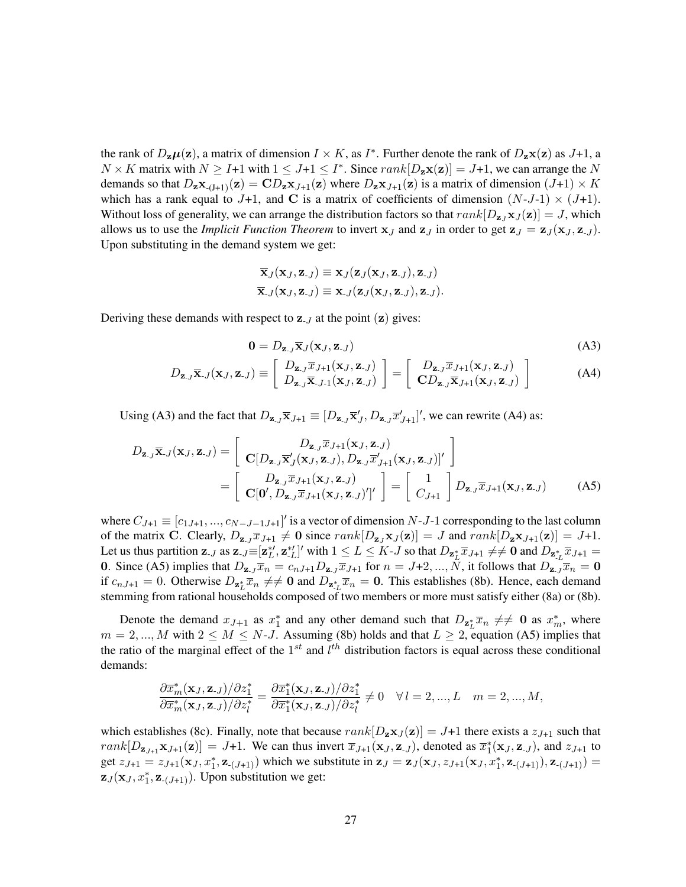the rank of  $D_z\mu(z)$ , a matrix of dimension  $I \times K$ , as  $I^*$ . Further denote the rank of  $D_z\mathbf{x}(z)$  as  $J+1$ , a  $N \times K$  matrix with  $N \geq I+1$  with  $1 \leq J+1 \leq I^*$ . Since  $rank[D_{\mathbf{z}}\mathbf{x}(\mathbf{z})] = J+1$ , we can arrange the N demands so that  $D_{\mathbf{z}} \mathbf{x}_{-(J+1)}(\mathbf{z}) = \mathbf{C} D_{\mathbf{z}} \mathbf{x}_{J+1}(\mathbf{z})$  where  $D_{\mathbf{z}} \mathbf{x}_{J+1}(\mathbf{z})$  is a matrix of dimension  $(J+1) \times K$ which has a rank equal to J+1, and C is a matrix of coefficients of dimension  $(N-J-1) \times (J+1)$ . Without loss of generality, we can arrange the distribution factors so that  $rank[D_{\mathbf{z}_1} \mathbf{x}_J (\mathbf{z})] = J$ , which allows us to use the *Implicit Function Theorem* to invert  $x_J$  and  $z_J$  in order to get  $z_J = z_J(x_J, z_J)$ . Upon substituting in the demand system we get:

$$
\overline{\mathbf{x}}_J(\mathbf{x}_J, \mathbf{z}_{-J}) \equiv \mathbf{x}_J(\mathbf{z}_J(\mathbf{x}_J, \mathbf{z}_{-J}), \mathbf{z}_{-J})
$$
  

$$
\overline{\mathbf{x}}_J(\mathbf{x}_J, \mathbf{z}_{-J}) \equiv \mathbf{x}_{-J}(\mathbf{z}_J(\mathbf{x}_J, \mathbf{z}_{-J}), \mathbf{z}_{-J}).
$$

Deriving these demands with respect to  $z_{-J}$  at the point  $(z)$  gives:

$$
\mathbf{0} = D_{\mathbf{z},J} \overline{\mathbf{x}}_J(\mathbf{x}_J, \mathbf{z}_{-J})
$$
 (A3)

$$
D_{\mathbf{z}_{.J}}\overline{\mathbf{x}}_{.J}(\mathbf{x}_{.J},\mathbf{z}_{.J}) \equiv \left[ \begin{array}{c} D_{\mathbf{z}_{.J}}\overline{x}_{.J+1}(\mathbf{x}_{.J},\mathbf{z}_{.J}) \\ D_{\mathbf{z}_{.J}}\overline{\mathbf{x}}_{.J-1}(\mathbf{x}_{.J},\mathbf{z}_{.J}) \end{array} \right] = \left[ \begin{array}{c} D_{\mathbf{z}_{.J}}\overline{x}_{.J+1}(\mathbf{x}_{.J},\mathbf{z}_{.J}) \\ \mathbf{C}D_{\mathbf{z}_{.J}}\overline{\mathbf{x}}_{.J+1}(\mathbf{x}_{.J},\mathbf{z}_{.J}) \end{array} \right]
$$
(A4)

Using (A3) and the fact that  $D_{\mathbf{z},j}\overline{\mathbf{x}}_{J+1} \equiv [D_{\mathbf{z},j}\overline{\mathbf{x}}'_{J}, D_{\mathbf{z},j}\overline{x}'_{J+1}]'$ , we can rewrite (A4) as:

$$
D_{\mathbf{z}_{\cdot},j}\overline{\mathbf{x}}_{\cdot,j}(\mathbf{x}_{J},\mathbf{z}_{\cdot},j) = \begin{bmatrix} D_{\mathbf{z}_{\cdot},j}\overline{x}_{J+1}(\mathbf{x}_{J},\mathbf{z}_{\cdot},j) \\ \mathbf{C}[D_{\mathbf{z}_{\cdot},j}\overline{\mathbf{x}}_{J}^{\prime}(\mathbf{x}_{J},\mathbf{z}_{\cdot},j), D_{\mathbf{z}_{\cdot},j}\overline{x}_{J+1}^{\prime}(\mathbf{x}_{J},\mathbf{z}_{\cdot},j)]^{\prime} \end{bmatrix} = \begin{bmatrix} D_{\mathbf{z}_{\cdot},j}\overline{x}_{J+1}(\mathbf{x}_{J},\mathbf{z}_{\cdot},j) \\ \mathbf{C}[\mathbf{0}^{\prime}, D_{\mathbf{z}_{\cdot},j}\overline{x}_{J+1}(\mathbf{x}_{J},\mathbf{z}_{\cdot},j)]^{\prime} \end{bmatrix} = \begin{bmatrix} 1 \\ C_{J+1} \end{bmatrix} D_{\mathbf{z}_{\cdot},j}\overline{x}_{J+1}(\mathbf{x}_{J},\mathbf{z}_{\cdot},j) \qquad (A5)
$$

where  $C_{J+1} \equiv [c_{1J+1},...,c_{N-J-1J+1}]'$  is a vector of dimension N-J-1 corresponding to the last column of the matrix C. Clearly,  $D_{\mathbf{z}_J} \overline{x}_{J+1} \neq \mathbf{0}$  since  $rank[D_{\mathbf{z}_J} \mathbf{x}_J(\mathbf{z})] = J$  and  $rank[D_{\mathbf{z}} \mathbf{x}_{J+1}(\mathbf{z})] = J+1$ . Let us thus partition  $\mathbf{z}_{-J}$  as  $\mathbf{z}_{-J} \equiv [\mathbf{z}_{L}^{*'} , \mathbf{z}_{-L}^{*'}]'$  with  $1 \le L \le K - J$  so that  $D_{\mathbf{z}_{L}^{*}} \overline{x}_{J+1} \neq \neq \mathbf{0}$  and  $D_{\mathbf{z}_{-L}^{*}} \overline{x}_{J+1} =$ 0. Since (A5) implies that  $D_{\mathbf{z}_J} \overline{x}_n = c_{nJ+1} D_{\mathbf{z}_J} \overline{x}_{J+1}$  for  $n = J+2, ..., \overline{N}$ , it follows that  $D_{\mathbf{z}_J} \overline{x}_n = \mathbf{0}$ if  $c_{nJ+1} = 0$ . Otherwise  $D_{\mathbf{z}_L^*} \overline{x}_n \neq 0$  and  $D_{\mathbf{z}_L^*} \overline{x}_n = 0$ . This establishes (8b). Hence, each demand stemming from rational households composed of two members or more must satisfy either (8a) or (8b).

Denote the demand  $x_{J+1}$  as  $x_1^*$  and any other demand such that  $D_{\mathbf{z}_L^*}\bar{x}_n \neq 0$  as  $x_m^*$ , where  $m = 2, ..., M$  with  $2 \le M \le N$ -J. Assuming (8b) holds and that  $L \ge 2$ , equation (A5) implies that the ratio of the marginal effect of the  $1^{st}$  and  $l^{th}$  distribution factors is equal across these conditional demands:

$$
\frac{\partial \overline{x}_{m}^{*}(\mathbf{x}_{J}, \mathbf{z}_{J})/\partial z_{1}^{*}}{\partial \overline{x}_{m}^{*}(\mathbf{x}_{J}, \mathbf{z}_{J})/\partial z_{l}^{*}} = \frac{\partial \overline{x}_{1}^{*}(\mathbf{x}_{J}, \mathbf{z}_{J})/\partial z_{1}^{*}}{\partial \overline{x}_{1}^{*}(\mathbf{x}_{J}, \mathbf{z}_{J})/\partial z_{l}^{*}} \neq 0 \quad \forall l = 2, ..., L \quad m = 2, ..., M,
$$

which establishes (8c). Finally, note that because  $rank[D_{z}x_{J}(z)] = J+1$  there exists a  $z_{J+1}$  such that  $rank[D_{\mathbf{z}_{J+1}}\mathbf{x}_{J+1}(\mathbf{z})] = J+1$ . We can thus invert  $\overline{x}_{J+1}(\mathbf{x}_J, \mathbf{z}_{J})$ , denoted as  $\overline{x}_1^*(\mathbf{x}_J, \mathbf{z}_{J})$ , and  $z_{J+1}$  to get  $z_{J+1} = z_{J+1}(\mathbf{x}_J, x_1^*, \mathbf{z}_{-(J+1)})$  which we substitute in  $\mathbf{z}_J = \mathbf{z}_J(\mathbf{x}_J, z_{J+1}(\mathbf{x}_J, x_1^*, \mathbf{z}_{-(J+1)}), \mathbf{z}_{-(J+1)}) =$  $\mathbf{z}_J(\mathbf{x}_J, x_1^*, \mathbf{z}_{-(J+1)})$ . Upon substitution we get: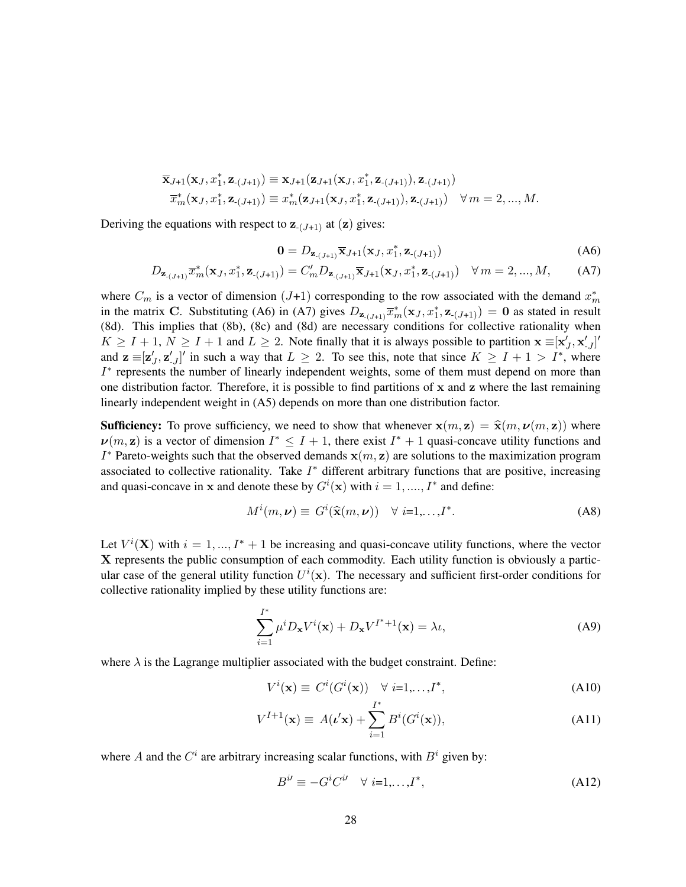$$
\begin{aligned} &\overline{\mathbf{x}}_{J+1}(\mathbf{x}_{J},x_{1}^{*},\mathbf{z}_{-(J+1)})\equiv\mathbf{x}_{J+1}(\mathbf{z}_{J+1}(\mathbf{x}_{J},x_{1}^{*},\mathbf{z}_{-(J+1)}),\mathbf{z}_{-(J+1)})\\ &\overline{x}_{m}^{*}(\mathbf{x}_{J},x_{1}^{*},\mathbf{z}_{-(J+1)})\equiv x_{m}^{*}(\mathbf{z}_{J+1}(\mathbf{x}_{J},x_{1}^{*},\mathbf{z}_{-(J+1)}),\mathbf{z}_{-(J+1)})\quad\forall\,m=2,...,M. \end{aligned}
$$

Deriving the equations with respect to  $z_{-(J+1)}$  at  $(z)$  gives:

$$
\mathbf{0} = D_{\mathbf{z}_{-(J+1)}} \overline{\mathbf{x}}_{J+1}(\mathbf{x}_J, x_1^*, \mathbf{z}_{-(J+1)})
$$
(A6)

$$
D_{\mathbf{z}_{-(J+1)}} \overline{x}_m^*(\mathbf{x}_J, x_1^*, \mathbf{z}_{-(J+1)}) = C'_m D_{\mathbf{z}_{-(J+1)}} \overline{\mathbf{x}}_{J+1}(\mathbf{x}_J, x_1^*, \mathbf{z}_{-(J+1)}) \quad \forall m = 2, ..., M,
$$
 (A7)

where  $C_m$  is a vector of dimension (J+1) corresponding to the row associated with the demand  $x_m^*$ in the matrix C. Substituting (A6) in (A7) gives  $D_{\mathbf{z}_{-(J+1)}}\overline{x}_{m}^{*}(\mathbf{x}_{J}, x_{1}^{*}, \mathbf{z}_{-(J+1)}) = \mathbf{0}$  as stated in result (8d). This implies that (8b), (8c) and (8d) are necessary conditions for collective rationality when  $K \geq I + 1, N \geq I + 1$  and  $L \geq 2$ . Note finally that it is always possible to partition  $\mathbf{x} \equiv [\mathbf{x}'_J, \mathbf{x}'_{J}]'$ and  $z \equiv [z'_J, z'_{J}]'$  in such a way that  $L \geq 2$ . To see this, note that since  $K \geq I + 1 > I^*$ , where I ∗ represents the number of linearly independent weights, some of them must depend on more than one distribution factor. Therefore, it is possible to find partitions of  $x$  and  $z$  where the last remaining linearly independent weight in (A5) depends on more than one distribution factor.

**Sufficiency:** To prove sufficiency, we need to show that whenever  $\mathbf{x}(m, \mathbf{z}) = \hat{\mathbf{x}}(m, \nu(m, \mathbf{z}))$  where  $\nu(m, z)$  is a vector of dimension  $I^* \leq I + 1$ , there exist  $I^* + 1$  quasi-concave utility functions and  $I^*$  Pareto-weights such that the observed demands  $\mathbf{x}(m, \mathbf{z})$  are solutions to the maximization program associated to collective rationality. Take  $I^*$  different arbitrary functions that are positive, increasing and quasi-concave in x and denote these by  $G^i(\mathbf{x})$  with  $i = 1, ..., I^*$  and define:

$$
M^{i}(m, \nu) \equiv G^{i}(\widehat{\mathbf{x}}(m, \nu)) \quad \forall \ i=1,\dots,I^{*}.
$$
 (A8)

Let  $V^{i}(\mathbf{X})$  with  $i = 1, ..., I^{*} + 1$  be increasing and quasi-concave utility functions, where the vector X represents the public consumption of each commodity. Each utility function is obviously a particular case of the general utility function  $U^i(\mathbf{x})$ . The necessary and sufficient first-order conditions for collective rationality implied by these utility functions are:

$$
\sum_{i=1}^{I^*} \mu^i D_{\mathbf{x}} V^i(\mathbf{x}) + D_{\mathbf{x}} V^{I^*+1}(\mathbf{x}) = \lambda \iota,
$$
 (A9)

where  $\lambda$  is the Lagrange multiplier associated with the budget constraint. Define:

$$
V^{i}(\mathbf{x}) \equiv C^{i}(G^{i}(\mathbf{x})) \quad \forall \ i=1,\ldots,I^{*}, \tag{A10}
$$

$$
V^{I+1}(\mathbf{x}) \equiv A(\mathbf{t}'\mathbf{x}) + \sum_{i=1}^{I^*} B^i(G^i(\mathbf{x})),
$$
\n(A11)

where A and the  $C^i$  are arbitrary increasing scalar functions, with  $B^i$  given by:

$$
B^{i\prime} \equiv -G^i C^{i\prime} \quad \forall \ i=1,\dots,I^*, \tag{A12}
$$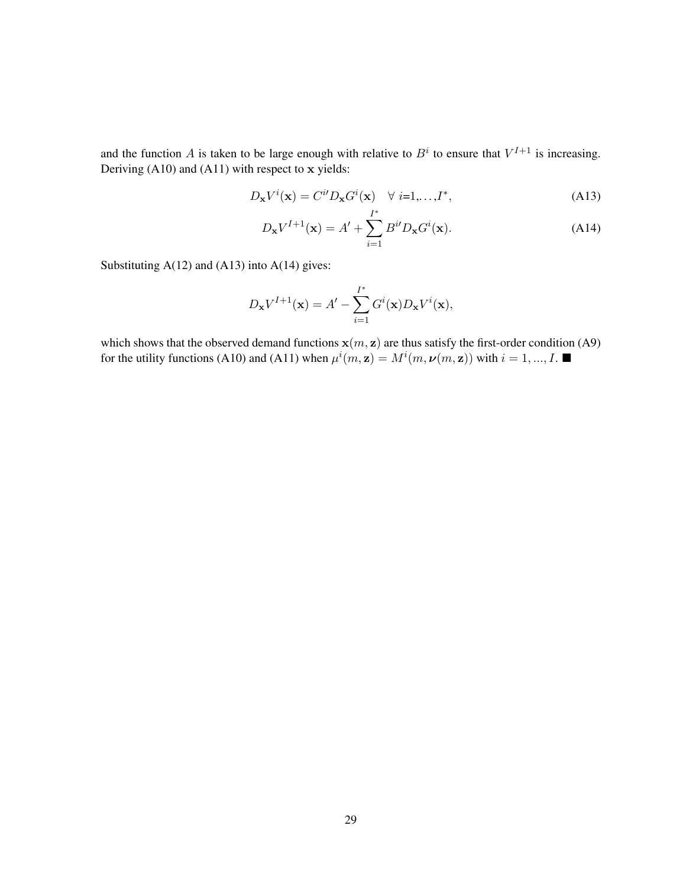and the function A is taken to be large enough with relative to  $B^i$  to ensure that  $V^{I+1}$  is increasing. Deriving (A10) and (A11) with respect to x yields:

$$
D_{\mathbf{x}}V^{i}(\mathbf{x}) = C^{i}D_{\mathbf{x}}G^{i}(\mathbf{x}) \quad \forall i=1,\dots,I^{*},
$$
\n(A13)

$$
D_{\mathbf{x}} V^{I+1}(\mathbf{x}) = A' + \sum_{i=1}^{I^*} B^{i} D_{\mathbf{x}} G^i(\mathbf{x}).
$$
 (A14)

Substituting  $A(12)$  and  $(A13)$  into  $A(14)$  gives:

$$
D_{\mathbf{x}}V^{I+1}(\mathbf{x}) = A' - \sum_{i=1}^{I^*} G^i(\mathbf{x})D_{\mathbf{x}}V^i(\mathbf{x}),
$$

which shows that the observed demand functions  $x(m, z)$  are thus satisfy the first-order condition (A9) for the utility functions (A10) and (A11) when  $\mu^{i}(m, z) = M^{i}(m, \nu(m, z))$  with  $i = 1, ..., I$ .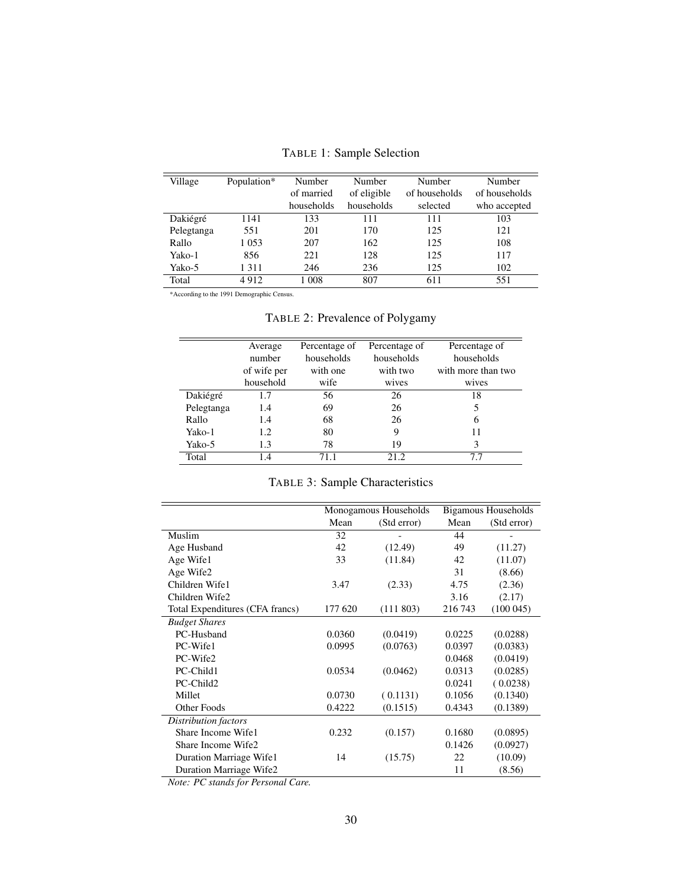| Village    | Population* | Number     | Number      | Number        | Number        |
|------------|-------------|------------|-------------|---------------|---------------|
|            |             | of married | of eligible | of households | of households |
|            |             | households | households  | selected      | who accepted  |
| Dakiégré   | 1141        | 133        | 111         | 111           | 103           |
| Pelegtanga | 551         | 201        | 170         | 125           | 121           |
| Rallo      | 1 0 5 3     | 207        | 162         | 125           | 108           |
| Yako-1     | 856         | 221        | 128         | 125           | 117           |
| Yako-5     | 1311        | 246        | 236         | 125           | 102           |
| Total      | 4912        | 1 0 0 8    | 807         | 611           | 551           |

TABLE 1: Sample Selection

\*According to the 1991 Demographic Census.

TABLE 2: Prevalence of Polygamy

|            | Average     | Percentage of | Percentage of | Percentage of      |
|------------|-------------|---------------|---------------|--------------------|
|            | number      | households    | households    | households         |
|            | of wife per | with one      | with two      | with more than two |
|            | household   | wife          | wives         | wives              |
| Dakiégré   | 1.7         | 56            | 26            | 18                 |
| Pelegtanga | 1.4         | 69            | 26            | 5                  |
| Rallo      | 1.4         | 68            | 26            | 6                  |
| Yako-1     | 1.2         | 80            | 9             | 11                 |
| Yako-5     | 1.3         | 78            | 19            | 3                  |
| Total      | 1.4         | 71.1          | 21.2          | 7.7                |

### TABLE 3: Sample Characteristics

|                                 | Monogamous Households |             | <b>Bigamous Households</b> |             |
|---------------------------------|-----------------------|-------------|----------------------------|-------------|
|                                 | Mean                  | (Std error) | Mean                       | (Std error) |
| Muslim                          | 32                    |             | 44                         |             |
| Age Husband                     | 42                    | (12.49)     | 49                         | (11.27)     |
| Age Wife1                       | 33                    | (11.84)     | 42                         | (11.07)     |
| Age Wife2                       |                       |             | 31                         | (8.66)      |
| Children Wife1                  | 3.47                  | (2.33)      | 4.75                       | (2.36)      |
| Children Wife2                  |                       |             | 3.16                       | (2.17)      |
| Total Expenditures (CFA francs) | 177 620               | (111803)    | 216 743                    | (100045)    |
| <b>Budget Shares</b>            |                       |             |                            |             |
| PC-Husband                      | 0.0360                | (0.0419)    | 0.0225                     | (0.0288)    |
| PC-Wife1                        | 0.0995                | (0.0763)    | 0.0397                     | (0.0383)    |
| PC-Wife2                        |                       |             | 0.0468                     | (0.0419)    |
| PC-Child1                       | 0.0534                | (0.0462)    | 0.0313                     | (0.0285)    |
| PC-Child2                       |                       |             | 0.0241                     | (0.0238)    |
| Millet                          | 0.0730                | (0.1131)    | 0.1056                     | (0.1340)    |
| Other Foods                     | 0.4222                | (0.1515)    | 0.4343                     | (0.1389)    |
| Distribution factors            |                       |             |                            |             |
| Share Income Wife1              | 0.232                 | (0.157)     | 0.1680                     | (0.0895)    |
| Share Income Wife2              |                       |             | 0.1426                     | (0.0927)    |
| Duration Marriage Wifel         | 14                    | (15.75)     | 22                         | (10.09)     |
| Duration Marriage Wife2         |                       |             | 11                         | (8.56)      |

*Note: PC stands for Personal Care.*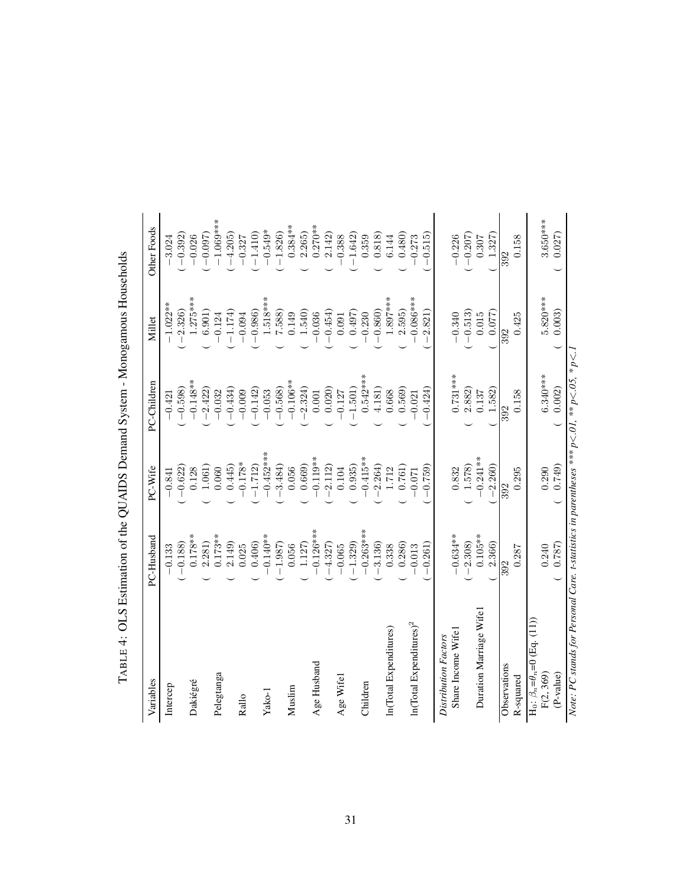| Variables                                                                                                  | PC-Husband  | PC-Wife             | PC-Children | Millet     | <b>Other Foods</b> |
|------------------------------------------------------------------------------------------------------------|-------------|---------------------|-------------|------------|--------------------|
| Intercep                                                                                                   | $-0.133$    | $-0.841$            | $-0.421$    | $-1.022**$ | $-3.024$           |
|                                                                                                            | $-0.188$    | $-0.622$            | $-0.598$    | $-2.326$   | $-0.392$           |
| Dakiégré                                                                                                   | $0.178**$   | 0.128               | $-0.148**$  | $1.275***$ | $-0.026$           |
|                                                                                                            | 2.281)      | 1.061)              | $-2.422$    | 6.901)     | $-0.097$           |
| Pelegtanga                                                                                                 | $0.173**$   | 0.060               | $-0.032$    | $-0.124$   | $-1.069***$        |
|                                                                                                            | 2.149)      | 0.445               | $-0.434$    | $-1.174$   | $-4.205$           |
| Rallo                                                                                                      | 0.025       | $-0.178*$           | $-0.009$    | $-0.094$   | $-0.327$           |
|                                                                                                            | 0.406       | $-1.712$            | $-0.142$    | $-0.986$   | $-1.410$           |
| Yako-1                                                                                                     | $-0.140**$  | $-0.452***$         | $-0.053$    | $1.518***$ | $-0.549*$          |
|                                                                                                            | $-1.987$    | $-3.484$            | $-0.568$    | 7.588      | $-1.826$           |
| Muslim                                                                                                     | 0.056       | 0.056               | $-0.106**$  | 0.149      | $0.384**$          |
|                                                                                                            | 1.127       | 0.669)              | $-2.324$    | 1.540      | 2.265              |
| Age Husband                                                                                                | $-0.126***$ | $0.119**$           | $0.001\,$   | $-0.036$   | $0.270**$          |
|                                                                                                            | $-4.327$    | 2.112)              | 0.020)      | $-0.454$   | 2.142)             |
| Age Wifel                                                                                                  | $-0.065$    | 0.104               | $-0.127$    | 0.091      | $-0.388$           |
|                                                                                                            | $-1.329$    | 0.935)              | $-1.501$    | 0.497      | $-1.642$           |
| Children                                                                                                   | $-0.263***$ | $0.415**$           | $0.542***$  | $-0.230$   | 0.359              |
|                                                                                                            | $-3.136$    | $-2.264$            | 4.181)      | $-0.860$   | 0.818)             |
| In(Total Expenditures)                                                                                     | 0.338       | 1.712               | 0.668       | $1.897***$ | 6.144              |
|                                                                                                            | 0.286)      | 0.761)              | 0.569)      | 2.595)     | 0.480              |
| In(Total Expenditures) <sup>2</sup>                                                                        | $-0.013$    | $-0.071$            | 0.021       | $0.086***$ | $-0.273$           |
|                                                                                                            | $-0.261$    | $-0.759$            | $-0.424$    | $-2.821$   | $-0.515$           |
| Distribution Factors                                                                                       |             |                     |             |            |                    |
| Share Income Wife1                                                                                         | $-0.634**$  | 0.832               | $0.731***$  | $-0.340$   | $-0.226$           |
|                                                                                                            | $-2.308$    | $1.578$<br>-0.241** | 2.882)      | $-0.513$   | $-0.207$           |
| Duration Marriage Wife                                                                                     | $0.105**$   |                     | 0.137       | $0.015\,$  | 0.307              |
|                                                                                                            | 2.366)      | $-2.260$            | 1.582)      | 0.077)     | 1.327              |
| Observations                                                                                               | 392         | 392                 | 392         | 392        | 392                |
| R-squared                                                                                                  | 0.287       | 0.295               | 0.158       | 0.425      | 0.158              |
| $H_0: \beta_n = \theta_n = 0$ (Eq. (11))                                                                   |             |                     |             |            |                    |
| F(2, 369)                                                                                                  | 0.240       | 0.290               | $6.340***$  | $5.820***$ | 3.650***           |
| (P-value)                                                                                                  | 0.787)      | 0.749               | 0.002       | 0.003      | 0.027              |
| Note: PC stands for Personal Care. t-statistics in parentheses *** $p < .01$ , ** $p < .05$ , * $p < .1$ . |             |                     |             |            |                    |

TABLE 4: OLS Estimation of the QUAIDS Demand System - Monogamous Households TABLE 4: OLS Estimation of the QUAIDS Demand System - Monogamous Households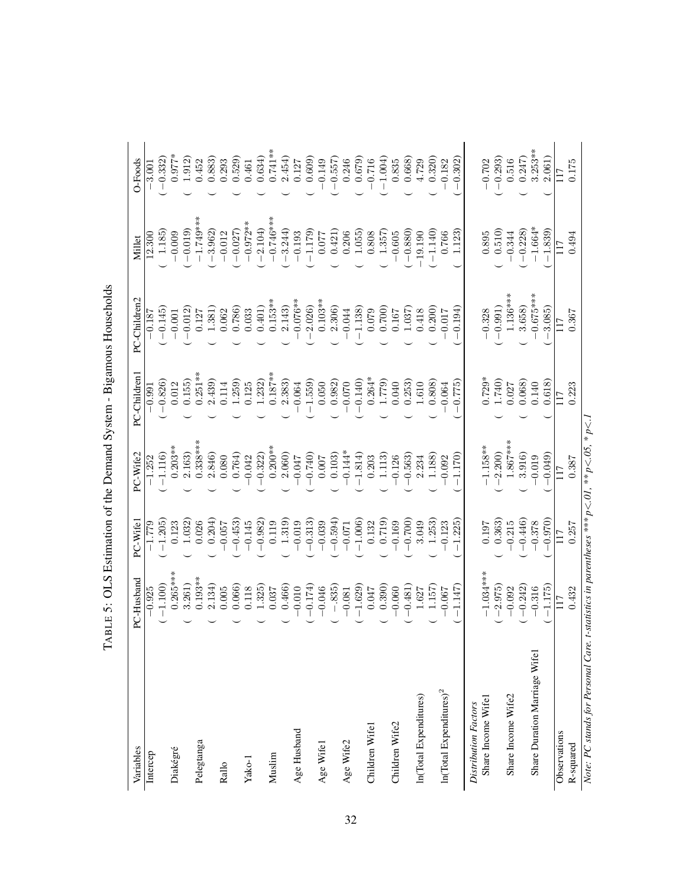| $\vdash$                            |                                                                      |                    |                 |                 | ABLE 5: OLS Estimation of the Demand System - Bigamous Households |                      |                 |
|-------------------------------------|----------------------------------------------------------------------|--------------------|-----------------|-----------------|-------------------------------------------------------------------|----------------------|-----------------|
| Variables                           | PC-Husband                                                           | PC-Wifel           | PC-Wife2        | PC-Children1    | PC-Children2                                                      | Millet               | O-Foods         |
| Intercep                            | $-0.925$                                                             | $-1.779$           | $-1.252$        | $-0.991$        | $-0.187$                                                          | 12.300               | $-3.001$        |
|                                     | $-1.100$                                                             | $-1.205$           | $-1.116$        | $-0.826$        | $-0.145$                                                          | 1.185                | $-0.332$        |
| Diakégré                            | $0.265***$                                                           | 0.123              | $0.203**$       | 0.012           | $-0.001$                                                          | $-0.009$             | $0.977*$        |
|                                     | 3.261)                                                               | 1.032              | 2.163)          | 0.155           | $-0.012$                                                          | $-0.019$             | 1.912)          |
| Pelegtanga                          | $0.193**$                                                            | 0.026              | $0.338***$      | $0.251**$       | 0.127                                                             | $-1.749***$          | 0.452           |
| Rallo                               | 2.134)<br>0.005                                                      | 0.204)<br>$-0.057$ | 2.846)<br>0.080 | 2.439)<br>0.114 | 1.381)<br>0.062                                                   | $-3.962$<br>$-0.012$ | 0.883)<br>0.293 |
|                                     | 0.066                                                                | $-0.453$           | 0.764)          | 1.259           | 0.786)                                                            | $-0.027$             | 0.529)          |
| Yako-1                              | 0.118                                                                | $-0.145$           | 0.042           | 0.125           | 0.033                                                             | $-0.972**$           | 0.461           |
|                                     | 1.325)                                                               | $-0.982$           | $-0.322$        | 1.232)          | 0.401)                                                            | $-2.104$             | 0.634)          |
| Muslim                              | 0.037                                                                | 0.119              | $0.200**$       | $0.187***$      | $0.153**$                                                         | $-0.746***$          | $0.741**$       |
|                                     | 0.466                                                                | 1.319)             | 2.060)          | 2.383)          | 2.143                                                             | $-3.244$             | 2.454)          |
| Age Husband                         | 0.010                                                                | $-0.019$           | 0.047           | 0.064           | $0.076**$                                                         | $-0.193$             | 0.127           |
|                                     | $-0.174$                                                             | $-0.313)$          | $-0.740$        | 1.559)          | 2.026                                                             | $-1.179$             | 0.609)          |
| Age Wifel                           | $-0.046$                                                             | $-0.039$           | 0.007           | 0.050           | $0.103**$                                                         | 0.077                | 0.149           |
|                                     | $-.835)$                                                             | $-0.594)$          | 0.103)          | 0.982)          | 2.306)                                                            | 0.421)               | $-0.557$        |
| Age Wife2                           | $-0.081$                                                             | $-0.071$           | $0.144*$        | 0.070           | 0.044                                                             | 0.206                | 0.246           |
|                                     | $-1.629$                                                             | $-1.006$           | $-1.814$        | $-0.140$        | $-1.138$                                                          | 1.055)               | 0.679)          |
| Children Wifel                      | 0.047                                                                | 0.132              | 0.203           | $0.264*$        | 0.079                                                             | 0.808                | $-0.716$        |
|                                     | 0.390)                                                               | 0.719)             | 1.113)          | 1.779)          | 0.700)                                                            | 1.357)               | 1.004)          |
| Children Wife2                      | $-0.060$                                                             | 0.169              | 0.126           | 0.040           | $0.167\,$                                                         | $-0.605$             | 0.835           |
|                                     | $-0.481$                                                             | $-0.700$           | $-0.563$        | 0.253)          | 1.037)                                                            | $-0.880$             | 0.668)          |
| In(Total Expenditures)              | 1.627                                                                | 3.049              | 2.234           | 1.610           | 0.418                                                             | $-19.190$            | 4.729           |
|                                     | 1.157)                                                               | 1.253)             | 1.188)          | 0.808)          | 0.200)                                                            | $-1.140$             | 0.320)          |
| In(Total Expenditures) <sup>2</sup> | $-0.067$                                                             | $-0.123$           | 0.092           | 0.064           | 0.017                                                             | 0.766                | $-0.182$        |
|                                     | $-1.147$                                                             | $-1.225$           | $-1.170$        | (677.0)         | $-0.194$                                                          | 1.123)               | $-0.302$        |
| Distribution Factors                |                                                                      |                    |                 |                 |                                                                   |                      |                 |
| Share Income Wife1                  | $-1.034***$                                                          | 0.197              | $-1.158**$      | $0.729*$        | $-0.328$                                                          | 0.895                | $-0.702$        |
|                                     | $-2.975$                                                             | 0.363)             | $-2.200$        | 1.740)          | $-0.991$                                                          | 0.510)               | $-0.293$        |
| Share Income Wife2                  | $-0.092$                                                             | $-0.215$           | $1.867***$      | 0.027           | $1.136***$                                                        | $-0.344$             | 0.516           |
|                                     | $-0.242$                                                             | $-0.446$           | 3.916)          | 0.068           | 3.658)                                                            | $-0.228$             | 0.247           |
| Share Duration Marriage Wifel       | $-0.316$                                                             | $-0.378$           | 0.019           | 0.140           | $0.675***$                                                        | $-1.664*$            | $3.253**$       |
|                                     | $-1.175$                                                             | $-0.970$           | $-0.049$        | 0.618)          | $-3.085$                                                          | $-1.839$             | 2.061)          |
| Observations                        | 117                                                                  | 117                | 117             | 17              |                                                                   | 117                  | 117             |
| R-squared                           | 0.432                                                                | 0.257              | 0.387           | 0.223           | 0.367                                                             | 0.494                | 0.175           |
| Note: PC stands for Personal Care   | : t-statistics in parentheses *** $p < 0$ I, ** $p < 0$ S, * $p < 1$ |                    |                 |                 |                                                                   |                      |                 |

Note: PC stands for Personal Care. t-statistics in parentheses \*\*\* p<.01, \*\* p<.05, \* p<.1

| j<br>.<br>.                        |
|------------------------------------|
| .<br>.<br>.<br>١<br>j<br>ı         |
| ļ                                  |
|                                    |
| I                                  |
|                                    |
|                                    |
|                                    |
| ؚ<br>ا                             |
|                                    |
|                                    |
| こころ ここ                             |
| -<br>-<br>-<br>-<br>-<br>ĺ<br>֚֕֕֡ |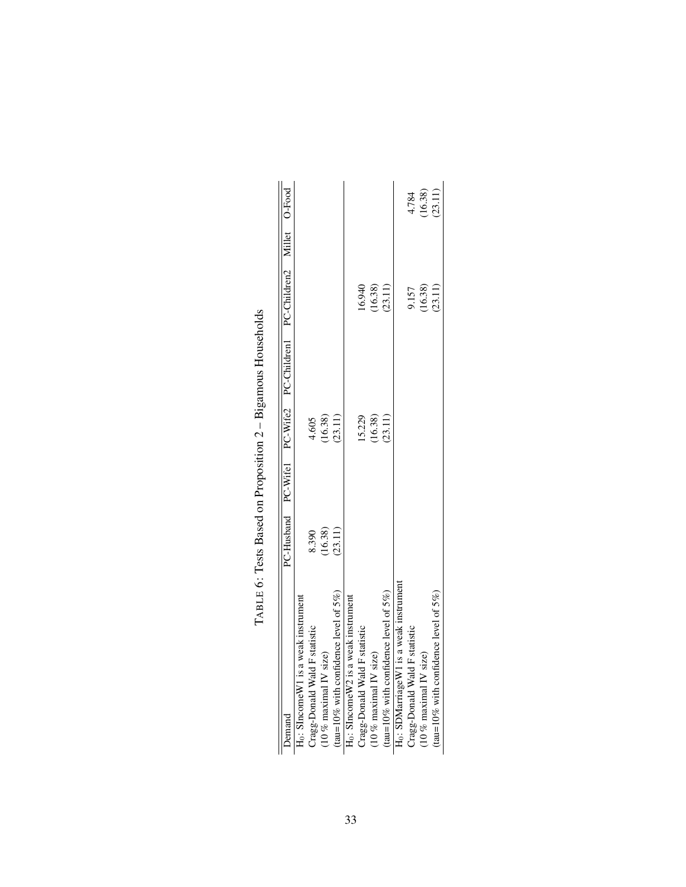| <b>Demand</b>                                      |         |         | PC-Husband PC-Wife1 PC-Wife2 PC-Children1 PC-Children2 Millet O-Food |                        |
|----------------------------------------------------|---------|---------|----------------------------------------------------------------------|------------------------|
| $H_0$ : SIncome $W1$ is a weak instrument          |         |         |                                                                      |                        |
| Cragg-Donald Wald F statistic                      | 8.390   | 4.605   |                                                                      |                        |
| $(10 %$ maximal IV size)                           | (16.38) | (16.38) |                                                                      |                        |
| (tau=10% with confidence level of $5\%$ )          | (23.11) | (23.11) |                                                                      |                        |
| H <sub>0</sub> : SIncomeW2 is a weak instrument    |         |         |                                                                      |                        |
| Cragg-Donald Wald F statistic                      |         | 15.229  | 16.940                                                               |                        |
| $(10 %$ maximal IV size)                           |         | (16.38) | $(16.38)$<br>$(23.11)$                                               |                        |
| (tau=10% with confidence level of $5\%$ )          |         | (23.11) |                                                                      |                        |
| H <sub>0</sub> : SDMarriageW1 is a weak instrument |         |         |                                                                      |                        |
| Cragg-Donald Wald F statistic                      |         |         | 9.157                                                                | 4.784                  |
| $(10 %$ maximal IV size)                           |         |         | $(16.38)$<br>$(23.11)$                                               | $(16.38)$<br>$(23.11)$ |
| (tau=10% with confidence level of $5\%$ )          |         |         |                                                                      |                        |

TABLE 6: Tests Based on Proposition 2 - Bigamous Households TABLE 6: Tests Based on Proposition 2 – Bigamous Households